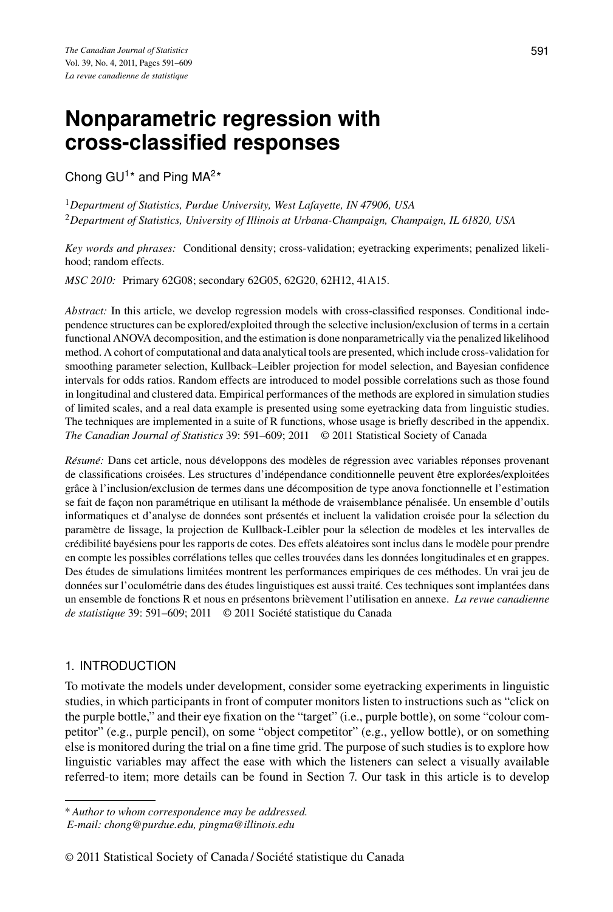# **Nonparametric regression with cross-classified responses**

Chong GU<sup>1\*</sup> and Ping MA<sup>2\*</sup>

<sup>1</sup>*Department of Statistics, Purdue University, West Lafayette, IN 47906, USA* <sup>2</sup>*Department of Statistics, University of Illinois at Urbana-Champaign, Champaign, IL 61820, USA*

*Key words and phrases:* Conditional density; cross-validation; eyetracking experiments; penalized likelihood; random effects.

*MSC 2010:* Primary 62G08; secondary 62G05, 62G20, 62H12, 41A15.

*Abstract:* In this article, we develop regression models with cross-classified responses. Conditional independence structures can be explored/exploited through the selective inclusion/exclusion of terms in a certain functional ANOVA decomposition, and the estimation is done nonparametrically via the penalized likelihood method. A cohort of computational and data analytical tools are presented, which include cross-validation for smoothing parameter selection, Kullback–Leibler projection for model selection, and Bayesian confidence intervals for odds ratios. Random effects are introduced to model possible correlations such as those found in longitudinal and clustered data. Empirical performances of the methods are explored in simulation studies of limited scales, and a real data example is presented using some eyetracking data from linguistic studies. The techniques are implemented in a suite of R functions, whose usage is briefly described in the appendix. *The Canadian Journal of Statistics* 39: 591–609; 2011 © 2011 Statistical Society of Canada

*Resume:* Dans cet article, nous développons des modèles de régression avec variables réponses provenant de classifications croisées. Les structures d'indépendance conditionnelle peuvent être explorées/exploitées grâce à l'inclusion/exclusion de termes dans une décomposition de type anova fonctionnelle et l'estimation se fait de façon non paramétrique en utilisant la méthode de vraisemblance pénalisée. Un ensemble d'outils informatiques et d'analyse de données sont présentés et incluent la validation croisée pour la sélection du paramètre de lissage, la projection de Kullback-Leibler pour la sélection de modèles et les intervalles de crédibilité bayésiens pour les rapports de cotes. Des effets aléatoires sont inclus dans le modèle pour prendre en compte les possibles corrélations telles que celles trouvées dans les données longitudinales et en grappes. Des études de simulations limitées montrent les performances empiriques de ces méthodes. Un vrai jeu de données sur l'oculométrie dans des études linguistiques est aussi traité. Ces techniques sont implantées dans un ensemble de fonctions R et nous en présentons brièvement l'utilisation en annexe. La revue canadienne *de statistique* 39: 591–609; 2011 © 2011 Société statistique du Canada

# 1. INTRODUCTION

To motivate the models under development, consider some eyetracking experiments in linguistic studies, in which participants in front of computer monitors listen to instructions such as "click on the purple bottle," and their eye fixation on the "target" (i.e., purple bottle), on some "colour competitor" (e.g., purple pencil), on some "object competitor" (e.g., yellow bottle), or on something else is monitored during the trial on a fine time grid. The purpose of such studies is to explore how linguistic variables may affect the ease with which the listeners can select a visually available referred-to item; more details can be found in Section 7. Our task in this article is to develop

<sup>\*</sup> *Author to whom correspondence may be addressed.*

*E-mail: chong@purdue.edu, pingma@illinois.edu*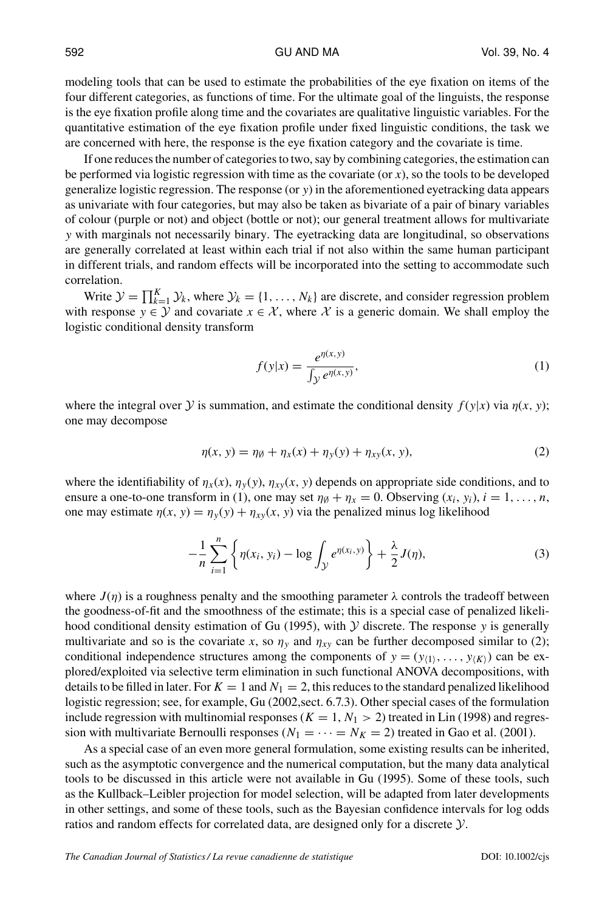modeling tools that can be used to estimate the probabilities of the eye fixation on items of the four different categories, as functions of time. For the ultimate goal of the linguists, the response is the eye fixation profile along time and the covariates are qualitative linguistic variables. For the quantitative estimation of the eye fixation profile under fixed linguistic conditions, the task we are concerned with here, the response is the eye fixation category and the covariate is time.

If one reduces the number of categories to two, say by combining categories, the estimation can be performed via logistic regression with time as the covariate (or  $x$ ), so the tools to be developed generalize logistic regression. The response (or y) in the aforementioned eyetracking data appears as univariate with four categories, but may also be taken as bivariate of a pair of binary variables of colour (purple or not) and object (bottle or not); our general treatment allows for multivariate y with marginals not necessarily binary. The eyetracking data are longitudinal, so observations are generally correlated at least within each trial if not also within the same human participant in different trials, and random effects will be incorporated into the setting to accommodate such correlation.

Write  $\mathcal{Y} = \prod_{k=1}^{K} \mathcal{Y}_k$ , where  $\mathcal{Y}_k = \{1, \ldots, N_k\}$  are discrete, and consider regression problem with response  $y \in Y$  and covariate  $x \in \mathcal{X}$ , where X is a generic domain. We shall employ the logistic conditional density transform

$$
f(y|x) = \frac{e^{\eta(x,y)}}{\int y e^{\eta(x,y)}},
$$
 (1)

where the integral over Y is summation, and estimate the conditional density  $f(y|x)$  via  $\eta(x, y)$ ; one may decompose

$$
\eta(x, y) = \eta_{\emptyset} + \eta_x(x) + \eta_y(y) + \eta_{xy}(x, y),
$$
\n(2)

where the identifiability of  $\eta_x(x)$ ,  $\eta_y(y)$ ,  $\eta_{xy}(x, y)$  depends on appropriate side conditions, and to ensure a one-to-one transform in (1), one may set  $\eta \phi + \eta x = 0$ . Observing  $(x_i, y_i)$ ,  $i = 1, \ldots, n$ , one may estimate  $\eta(x, y) = \eta_y(y) + \eta_{xy}(x, y)$  via the penalized minus log likelihood

$$
-\frac{1}{n}\sum_{i=1}^n\left\{\eta(x_i,y_i)-\log\int_{\mathcal{Y}}e^{\eta(x_i,y)}\right\}+\frac{\lambda}{2}J(\eta),\tag{3}
$$

where  $J(\eta)$  is a roughness penalty and the smoothing parameter  $\lambda$  controls the tradeoff between the goodness-of-fit and the smoothness of the estimate; this is a special case of penalized likelihood conditional density estimation of Gu (1995), with  $\mathcal Y$  discrete. The response y is generally multivariate and so is the covariate x, so  $\eta_y$  and  $\eta_{xy}$  can be further decomposed similar to (2); conditional independence structures among the components of  $y = (y_{(1)}, \ldots, y_{(K)})$  can be explored/exploited via selective term elimination in such functional ANOVA decompositions, with details to be filled in later. For  $K = 1$  and  $N_1 = 2$ , this reduces to the standard penalized likelihood logistic regression; see, for example, Gu (2002,sect. 6.7.3). Other special cases of the formulation include regression with multinomial responses ( $K = 1$ ,  $N_1 > 2$ ) treated in Lin (1998) and regression with multivariate Bernoulli responses ( $N_1 = \cdots = N_K = 2$ ) treated in Gao et al. (2001).

As a special case of an even more general formulation, some existing results can be inherited, such as the asymptotic convergence and the numerical computation, but the many data analytical tools to be discussed in this article were not available in Gu (1995). Some of these tools, such as the Kullback–Leibler projection for model selection, will be adapted from later developments in other settings, and some of these tools, such as the Bayesian confidence intervals for log odds ratios and random effects for correlated data, are designed only for a discrete Y.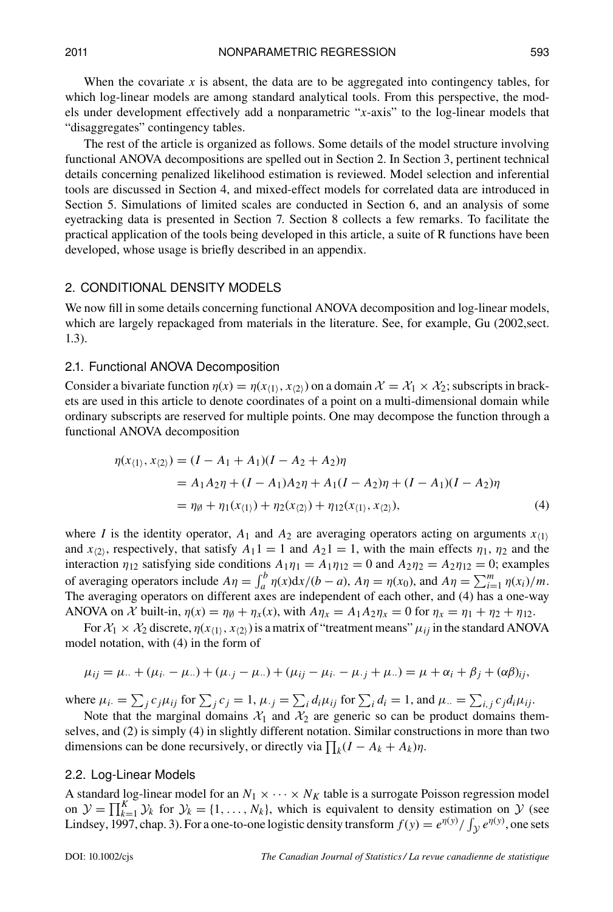When the covariate  $x$  is absent, the data are to be aggregated into contingency tables, for which log-linear models are among standard analytical tools. From this perspective, the models under development effectively add a nonparametric "x-axis" to the log-linear models that "disaggregates" contingency tables.

The rest of the article is organized as follows. Some details of the model structure involving functional ANOVA decompositions are spelled out in Section 2. In Section 3, pertinent technical details concerning penalized likelihood estimation is reviewed. Model selection and inferential tools are discussed in Section 4, and mixed-effect models for correlated data are introduced in Section 5. Simulations of limited scales are conducted in Section 6, and an analysis of some eyetracking data is presented in Section 7. Section 8 collects a few remarks. To facilitate the practical application of the tools being developed in this article, a suite of R functions have been developed, whose usage is briefly described in an appendix.

# 2. CONDITIONAL DENSITY MODELS

We now fill in some details concerning functional ANOVA decomposition and log-linear models, which are largely repackaged from materials in the literature. See, for example, Gu (2002, sect. 1.3).

# 2.1. Functional ANOVA Decomposition

Consider a bivariate function  $\eta(x) = \eta(x_{(1)}, x_{(2)})$  on a domain  $\mathcal{X} = \mathcal{X}_1 \times \mathcal{X}_2$ ; subscripts in brackets are used in this article to denote coordinates of a point on a multi-dimensional domain while ordinary subscripts are reserved for multiple points. One may decompose the function through a functional ANOVA decomposition

$$
\eta(x_{(1)}, x_{(2)}) = (I - A_1 + A_1)(I - A_2 + A_2)\eta
$$
  
=  $A_1 A_2 \eta + (I - A_1)A_2 \eta + A_1 (I - A_2) \eta + (I - A_1)(I - A_2)\eta$   
=  $\eta_{\emptyset} + \eta_1(x_{(1)}) + \eta_2(x_{(2)}) + \eta_{12}(x_{(1)}, x_{(2)}),$  (4)

where I is the identity operator,  $A_1$  and  $A_2$  are averaging operators acting on arguments  $x_{(1)}$ and  $x_{(2)}$ , respectively, that satisfy  $A_11 = 1$  and  $A_21 = 1$ , with the main effects  $\eta_1$ ,  $\eta_2$  and the interaction  $\eta_{12}$  satisfying side conditions  $A_1\eta_1 = A_1\eta_{12} = 0$  and  $A_2\eta_2 = A_2\eta_{12} = 0$ ; examples of averaging operators include  $A\eta = \int_a^b \eta(x) dx/(b-a)$ ,  $A\eta = \eta(x_0)$ , and  $A\eta = \sum_{i=1}^m \eta(x_i)/m$ .<br>The averaging operators on different axes are independent of each other, and (4) has a one-way ANOVA on X built-in,  $\eta(x) = \eta \theta + \eta_x(x)$ , with  $A\eta_x = A_1 A_2 \eta_x = 0$  for  $\eta_x = \eta_1 + \eta_2 + \eta_1$ .

For  $X_1 \times X_2$  discrete,  $\eta(x_1, x_2)$  is a matrix of "treatment means"  $\mu_{ij}$  in the standard ANOVA model notation, with (4) in the form of

$$
\mu_{ij} = \mu_{\cdot\cdot} + (\mu_{i\cdot} - \mu_{\cdot\cdot}) + (\mu_{\cdot j} - \mu_{\cdot\cdot}) + (\mu_{ij} - \mu_{i\cdot} - \mu_{\cdot j} + \mu_{\cdot\cdot}) = \mu + \alpha_i + \beta_j + (\alpha\beta)_{ij},
$$

where  $\mu_i = \sum_j c_j \mu_{ij}$  for  $\sum_j c_j = 1$ ,  $\mu_{\cdot j} = \sum_i d_i \mu_{ij}$  for  $\sum_i d_i = 1$ , and  $\mu_{\cdot \cdot} = \sum_{i,j} c_j d_i \mu_{ij}$ .

Note that the marginal domains  $\mathcal{X}_1$  and  $\mathcal{X}_2$  are generic so can be product domains themselves, and (2) is simply (4) in slightly different notation. Similar constructions in more than two dimensions can be done recursively, or directly via  $\prod_k (I - A_k + A_k)\eta$ .

#### 2.2. Log-Linear Models

A standard log-linear model for an  $N_1 \times \cdots \times N_K$  table is a surrogate Poisson regression model on  $\mathcal{Y} = \prod_{k=1}^{K} \mathcal{Y}_k$  for  $\mathcal{Y}_k = \{1, ..., N_k\}$ , which is equivalent to density estimation on  $\mathcal{Y}$  (see Lindsey, 1997, chap. 3). For a one-to-one logistic density transform  $f(y) = e^{\eta(y)} / \int_{\mathcal{Y}} e^{\eta(y)}$ , one sets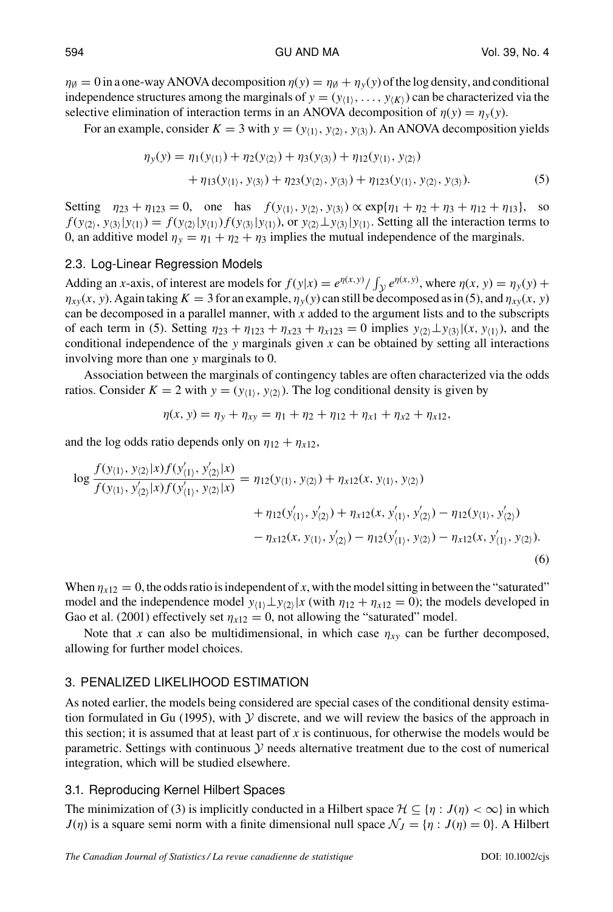$\eta_{\emptyset} = 0$  in a one-way ANOVA decomposition  $\eta(y) = \eta_{\emptyset} + \eta_{y}(y)$  of the log density, and conditional independence structures among the marginals of  $y = (y_{(1)}, \ldots, y_{(K)})$  can be characterized via the selective elimination of interaction terms in an ANOVA decomposition of  $\eta(y) = \eta_y(y)$ .

For an example, consider  $K = 3$  with  $y = (y_{(1)}, y_{(2)}, y_{(3)})$ . An ANOVA decomposition yields

$$
\eta_y(y) = \eta_1(y_{(1)}) + \eta_2(y_{(2)}) + \eta_3(y_{(3)}) + \eta_{12}(y_{(1)}, y_{(2)}) + \eta_{13}(y_{(1)}, y_{(3)}) + \eta_{23}(y_{(2)}, y_{(3)}) + \eta_{123}(y_{(1)}, y_{(2)}, y_{(3)}).
$$
(5)

Setting  $\eta_{23} + \eta_{123} = 0$ , one has  $f(y_{(1)}, y_{(2)}, y_{(3)}) \propto \exp{\{\eta_1 + \eta_2 + \eta_3 + \eta_{12} + \eta_{13}\}}$ , so  $f(y_{(2)}, y_{(3)}|y_{(1)}) = f(y_{(2)}|y_{(1)})f(y_{(3)}|y_{(1)})$ , or  $y_{(2)} \perp y_{(3)}|y_{(1)}$ . Setting all the interaction terms to 0, an additive model  $\eta_y = \eta_1 + \eta_2 + \eta_3$  implies the mutual independence of the marginals.

# 2.3. Log-Linear Regression Models

Adding an x-axis, of interest are models for  $f(y|x) = e^{\eta(x,y)}/\int_{\mathcal{Y}} e^{\eta(x,y)}$ , where  $\eta(x, y) = \eta_y(y) +$  $\eta_{xy}(x, y)$ . Again taking  $K = 3$  for an example,  $\eta_y(y)$  can still be decomposed as in (5), and  $\eta_{xy}(x, y)$ can be decomposed in a parallel manner, with  $x$  added to the argument lists and to the subscripts of each term in (5). Setting  $\eta_{23} + \eta_{123} + \eta_{x23} + \eta_{x123} = 0$  implies  $y_{(2)} \perp y_{(3)} | (x, y_{(1)})$ , and the conditional independence of the y marginals given  $x$  can be obtained by setting all interactions involving more than one y marginals to 0.

Association between the marginals of contingency tables are often characterized via the odds ratios. Consider  $K = 2$  with  $y = (y_{(1)}, y_{(2)})$ . The log conditional density is given by

$$
\eta(x, y) = \eta_y + \eta_{xy} = \eta_1 + \eta_2 + \eta_{12} + \eta_{x1} + \eta_{x2} + \eta_{x12},
$$

and the log odds ratio depends only on  $\eta_{12} + \eta_{x12}$ ,

$$
\log \frac{f(y_{(1)}, y_{(2)}|x) f(y'_{(1)}, y'_{(2)}|x)}{f(y_{(1)}, y'_{(2)}|x) f(y'_{(1)}, y_{(2)}|x)} = \eta_{12}(y_{(1)}, y_{(2)}) + \eta_{x12}(x, y_{(1)}, y_{(2)}) \n+ \eta_{12}(y'_{(1)}, y'_{(2)}) + \eta_{x12}(x, y'_{(1)}, y'_{(2)}) - \eta_{12}(y_{(1)}, y'_{(2)}) \n- \eta_{x12}(x, y_{(1)}, y'_{(2)}) - \eta_{12}(y'_{(1)}, y_{(2)}) - \eta_{x12}(x, y'_{(1)}, y_{(2)}).
$$
\n(6)

When  $\eta_{x12} = 0$ , the odds ratio is independent of x, with the model sitting in between the "saturated" model and the independence model  $y_{(1)} \perp y_{(2)} |x$  (with  $\eta_{12} + \eta_{x12} = 0$ ); the models developed in Gao et al. (2001) effectively set  $\eta_{x12} = 0$ , not allowing the "saturated" model.

Note that x can also be multidimensional, in which case  $\eta_{xy}$  can be further decomposed, allowing for further model choices.

# 3. PENALIZED LIKELIHOOD ESTIMATION

As noted earlier, the models being considered are special cases of the conditional density estimation formulated in Gu (1995), with  $\mathcal Y$  discrete, and we will review the basics of the approach in this section; it is assumed that at least part of x is continuous, for otherwise the models would be parametric. Settings with continuous  $\mathcal Y$  needs alternative treatment due to the cost of numerical integration, which will be studied elsewhere.

# 3.1. Reproducing Kernel Hilbert Spaces

The minimization of (3) is implicitly conducted in a Hilbert space  $\mathcal{H} \subseteq {\eta : J(\eta) < \infty}$  in which  $J(\eta)$  is a square semi norm with a finite dimensional null space  $\mathcal{N}_J = {\eta : J(\eta) = 0}$ . A Hilbert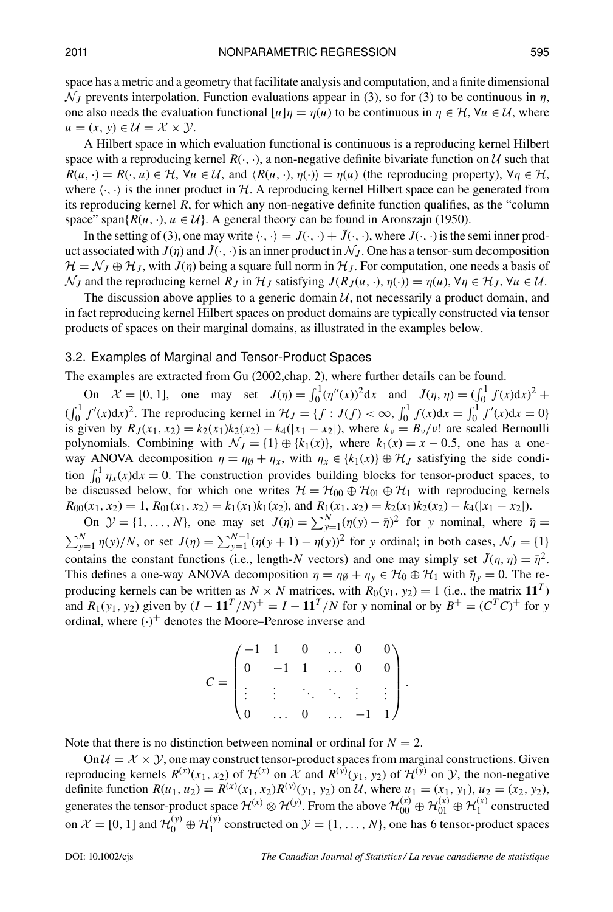space has a metric and a geometry that facilitate analysis and computation, and a finite dimensional  $\mathcal{N}_J$  prevents interpolation. Function evaluations appear in (3), so for (3) to be continuous in  $\eta$ , one also needs the evaluation functional  $[u]\eta = \eta(u)$  to be continuous in  $\eta \in \mathcal{H}$ ,  $\forall u \in \mathcal{U}$ , where  $u = (x, y) \in \mathcal{U} = \mathcal{X} \times \mathcal{Y}$ .

A Hilbert space in which evaluation functional is continuous is a reproducing kernel Hilbert space with a reproducing kernel  $R(\cdot, \cdot)$ , a non-negative definite bivariate function on  $\mathcal U$  such that  $R(u, \cdot) = R(\cdot, u) \in \mathcal{H}$ ,  $\forall u \in \mathcal{U}$ , and  $\langle R(u, \cdot), \eta(\cdot) \rangle = \eta(u)$  (the reproducing property),  $\forall \eta \in \mathcal{H}$ , where  $\langle \cdot, \cdot \rangle$  is the inner product in H. A reproducing kernel Hilbert space can be generated from its reproducing kernel R, for which any non-negative definite function qualifies, as the "column space" span $\{R(u, \cdot), u \in \mathcal{U}\}\$ . A general theory can be found in Aronszajn (1950).

In the setting of (3), one may write  $\langle \cdot, \cdot \rangle = J(\cdot, \cdot) + \tilde{J}(\cdot, \cdot)$ , where  $J(\cdot, \cdot)$  is the semi inner product associated with  $J(\eta)$  and  $\tilde{J}(\cdot, \cdot)$  is an inner product in  $\mathcal{N}_J$ . One has a tensor-sum decomposition  $\mathcal{H} = \mathcal{N}_J \oplus \mathcal{H}_J$ , with  $J(\eta)$  being a square full norm in  $\mathcal{H}_J$ . For computation, one needs a basis of  $\mathcal{N}_J$  and the reproducing kernel  $R_J$  in  $\mathcal{H}_J$  satisfying  $J(R_J(u, \cdot), \eta(\cdot)) = \eta(u), \forall \eta \in \mathcal{H}_J, \forall u \in \mathcal{U}$ .

The discussion above applies to a generic domain  $U$ , not necessarily a product domain, and in fact reproducing kernel Hilbert spaces on product domains are typically constructed via tensor products of spaces on their marginal domains, as illustrated in the examples below.

# 3.2. Examples of Marginal and Tensor-Product Spaces

The examples are extracted from Gu (2002, chap. 2), where further details can be found.

On  $\mathcal{X} = [0, 1]$ , one may set  $J(\eta) = \int_0^1 (\eta''(x))^2 dx$  and  $\tilde{J}(\eta, \eta) = (\int_0^1 f(x) dx)^2 +$  $(\int_0^1 f'(x) dx)^2$ . The reproducing kernel in  $\mathcal{H}_J = \{f : J(f) < \infty, \int_0^1 f(x) dx = \int_0^1 f'(x) dx = 0\}$ is given by  $R_J(x_1, x_2) = k_2(x_1)k_2(x_2) - k_4(|x_1 - x_2|)$ , where  $k_\nu = B_\nu/\nu!$  are scaled Bernoulli polynomials. Combining with  $\mathcal{N}_J = \{1\} \oplus \{k_1(x)\}\)$ , where  $k_1(x) = x - 0.5$ , one has a oneway ANOVA decomposition  $\eta = \eta_{\emptyset} + \eta_x$ , with  $\eta_x \in \{k_1(x)\} \oplus \mathcal{H}_J$  satisfying the side condition  $\int_0^1 \eta_x(x) dx = 0$ . The construction provides building blocks for tensor-product spaces, to be discussed below, for which one writes  $\mathcal{H} = \mathcal{H}_{00} \oplus \mathcal{H}_{01} \oplus \mathcal{H}_1$  with reproducing kernels  $R_{00}(x_1, x_2) = 1$ ,  $R_{01}(x_1, x_2) = k_1(x_1)k_1(x_2)$ , and  $R_1(x_1, x_2) = k_2(x_1)k_2(x_2) - k_4(|x_1 - x_2|)$ .

On  $\mathcal{Y} = \{1, ..., N\}$ , one may set  $J(\eta) = \sum_{y=1}^{N} (\eta(y) - \bar{\eta})^2$  for y nominal, where  $\bar{\eta} =$  $\sum_{y=1}^{N} \eta(y)/N$ , or set  $J(\eta) = \sum_{y=1}^{N-1} (\eta(y+1) - \eta(y))^2$  for y ordinal; in both cases,  $\mathcal{N}_J = \{1\}$ contains the constant functions (i.e., length-N vectors) and one may simply set  $\tilde{J}(\eta, \eta) = \bar{\eta}^2$ . This defines a one-way ANOVA decomposition  $\eta = \eta \theta + \eta v \in \mathcal{H}_0 \oplus \mathcal{H}_1$  with  $\bar{\eta} v = 0$ . The reproducing kernels can be written as  $N \times N$  matrices, with  $R_0(y_1, y_2) = 1$  (i.e., the matrix  $\mathbf{11}^T$ ) and  $R_1(y_1, y_2)$  given by  $(I - 11^T/N)^+ = I - 11^T/N$  for y nominal or by  $B^+ = (C^T C)^+$  for y ordinal, where  $(\cdot)^+$  denotes the Moore–Penrose inverse and

$$
C = \begin{pmatrix} -1 & 1 & 0 & \dots & 0 & 0 \\ 0 & -1 & 1 & \dots & 0 & 0 \\ \vdots & \vdots & \ddots & \ddots & \vdots & \vdots \\ 0 & \dots & 0 & \dots & -1 & 1 \end{pmatrix}.
$$

Note that there is no distinction between nominal or ordinal for  $N = 2$ .

On  $\mathcal{U} = \mathcal{X} \times \mathcal{Y}$ , one may construct tensor-product spaces from marginal constructions. Given reproducing kernels  $R^{(x)}(x_1, x_2)$  of  $\mathcal{H}^{(x)}$  on  $\mathcal{X}$  and  $R^{(y)}(y_1, y_2)$  of  $\mathcal{H}^{(y)}$  on  $\mathcal{Y}$ , the non-negative definite function  $R(u_1, u_2) = R^{(x)}(x_1, x_2)R^{(y)}(y_1, y_2)$  on U, where  $u_1 = (x_1, y_1), u_2 = (x_2, y_2),$ generates the tensor-product space  $\mathcal{H}^{(x)} \otimes \mathcal{H}^{(y)}$ . From the above  $\mathcal{H}_{00}^{(x)} \oplus \mathcal{H}_{01}^{(x)} \oplus \mathcal{H}_{1}^{(x)}$  constructed on  $\mathcal{X} = [0, 1]$  and  $\mathcal{H}_0^{(y)} \oplus \mathcal{H}_1^{(y)}$  constructed on  $\mathcal{Y} = \{1, ..., N\}$ , one has 6 tensor-product spaces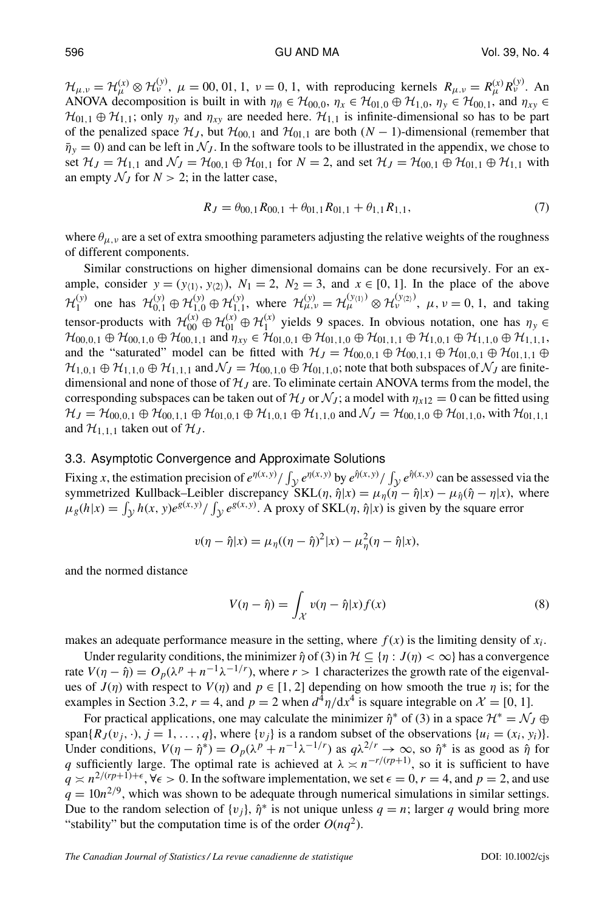$\mathcal{H}_{\mu,\nu} = \mathcal{H}_{\mu}^{(x)} \otimes \mathcal{H}_{\nu}^{(y)}$ ,  $\mu = 0.0, 0.1, 1, \nu = 0, 1$ , with reproducing kernels  $R_{\mu,\nu} = R_{\mu}^{(x)} R_{\nu}^{(y)}$ . An ANOVA decomposition is built in with  $\eta_{\emptyset} \in H_{00,0}$ ,  $\eta_x \in H_{01,0} \oplus H_{1,0}$ ,  $\eta_y \in H_{00,1}$ , and  $\eta_{xy} \in H_{01,0}$  $\mathcal{H}_{01,1} \oplus \mathcal{H}_{1,1}$ ; only  $\eta_y$  and  $\eta_{xy}$  are needed here.  $\mathcal{H}_{1,1}$  is infinite-dimensional so has to be part of the penalized space  $\mathcal{H}_J$ , but  $\mathcal{H}_{00,1}$  and  $\mathcal{H}_{01,1}$  are both  $(N-1)$ -dimensional (remember that  $\bar{\eta}_v = 0$ ) and can be left in  $\mathcal{N}_J$ . In the software tools to be illustrated in the appendix, we chose to set  $\mathcal{H}_J = \mathcal{H}_{1,1}$  and  $\mathcal{N}_J = \mathcal{H}_{00,1} \oplus \mathcal{H}_{01,1}$  for  $N = 2$ , and set  $\mathcal{H}_J = \mathcal{H}_{00,1} \oplus \mathcal{H}_{01,1} \oplus \mathcal{H}_{1,1}$  with an empty  $\mathcal{N}_J$  for  $N > 2$ ; in the latter case,

$$
R_J = \theta_{00,1} R_{00,1} + \theta_{01,1} R_{01,1} + \theta_{1,1} R_{1,1}, \tag{7}
$$

where  $\theta_{\mu,\nu}$  are a set of extra smoothing parameters adjusting the relative weights of the roughness of different components.

Similar constructions on higher dimensional domains can be done recursively. For an example, consider  $y = (y_{(1)}, y_{(2)}), N_1 = 2, N_2 = 3$ , and  $x \in [0, 1]$ . In the place of the above  $\mathcal{H}_{1}^{(y)}$  one has  $\mathcal{H}_{0,1}^{(y)} \oplus \mathcal{H}_{1,0}^{(y)} \oplus \mathcal{H}_{1,1}^{(y)}$ , where  $\mathcal{H}_{\mu,\nu}^{(y)} = \mathcal{H}_{\mu}^{(y_{(1)})} \otimes \mathcal{H}_{\nu}^{(y_{(2)})}$ ,  $\mu, \nu = 0, 1$ , and taking tensor-products with  $\mathcal{H}_{00}^{(x)} \oplus \mathcal{H}_{01}^{(x)} \oplus \mathcal{H}_{1}^{(x)}$  yields 9 spaces. In obvious notation, one has  $\eta_y \in$  $\mathcal{H}_{00,0,1} \oplus \mathcal{H}_{00,1,0} \oplus \mathcal{H}_{00,1,1}$  and  $\eta_{xy} \in \mathcal{H}_{01,0,1} \oplus \mathcal{H}_{01,1,0} \oplus \mathcal{H}_{01,1,1} \oplus \mathcal{H}_{1,0,1} \oplus \mathcal{H}_{1,1,0} \oplus \mathcal{H}_{1,1,1}$ and the "saturated" model can be fitted with  $\mathcal{H}_J = \mathcal{H}_{00,0,1} \oplus \mathcal{H}_{00,1,1} \oplus \mathcal{H}_{01,0,1} \oplus \mathcal{H}_{01,1,1} \oplus$  $\mathcal{H}_{1,0,1} \oplus \mathcal{H}_{1,1,0} \oplus \mathcal{H}_{1,1,1}$  and  $\mathcal{N}_J = \mathcal{H}_{0,1,0} \oplus \mathcal{H}_{0,1,0}$ ; note that both subspaces of  $\mathcal{N}_J$  are finitedimensional and none of those of  $\mathcal{H}_I$  are. To eliminate certain ANOVA terms from the model, the corresponding subspaces can be taken out of  $\mathcal{H}_J$  or  $\mathcal{N}_J$ ; a model with  $\eta_{x12} = 0$  can be fitted using  $\mathcal{H}_J = \mathcal{H}_{00,0,1} \oplus \mathcal{H}_{00,1,1} \oplus \mathcal{H}_{01,0,1} \oplus \mathcal{H}_{1,0,1} \oplus \mathcal{H}_{1,1,0}$  and  $\mathcal{N}_J = \mathcal{H}_{00,1,0} \oplus \mathcal{H}_{01,1,0}$ , with  $\mathcal{H}_{01,1,1}$ and  $\mathcal{H}_{1,1,1}$  taken out of  $\mathcal{H}_J$ .

# 3.3. Asymptotic Convergence and Approximate Solutions

Fixing x, the estimation precision of  $e^{\eta(x,y)}/\int_{\mathcal{Y}} e^{\eta(x,y)}$   $\int_{\mathcal{Y}} e^{\hat{\eta}(x,y)}/\int_{\mathcal{Y}} e^{\hat{\eta}(x,y)}$  can be assessed via the symmetrized Kullback–Leibler discrepancy SKL $(\eta, \hat{\eta}|x) = \mu_{\eta}(\tilde{\eta} - \hat{\eta}|x) - \mu_{\hat{\eta}}(\hat{\eta} - \eta|x)$ , where  $\mu_g(h|x) = \int_{\mathcal{Y}} h(x, y)e^{g(x, y)} / \int_{\mathcal{Y}} e^{g(x, y)}$ . A proxy of SKL $(\eta, \hat{\eta}|x)$  is given by the square error

$$
v(\eta - \hat{\eta}|x) = \mu_{\eta}((\eta - \hat{\eta})^2|x) - \mu_{\eta}^2(\eta - \hat{\eta}|x),
$$

and the normed distance

$$
V(\eta - \hat{\eta}) = \int_{\mathcal{X}} v(\eta - \hat{\eta}|x) f(x)
$$
\n(8)

makes an adequate performance measure in the setting, where  $f(x)$  is the limiting density of  $x_i$ .

Under regularity conditions, the minimizer  $\hat{\eta}$  of (3) in  $\mathcal{H} \subseteq {\eta : J(\eta) < \infty}$  has a convergence rate  $V(\eta - \hat{\eta}) = O_p(\lambda^p + n^{-1}\lambda^{-1/r})$ , where  $r > 1$  characterizes the growth rate of the eigenvalues of  $J(\eta)$  with respect to  $V(\eta)$  and  $p \in [1, 2]$  depending on how smooth the true  $\eta$  is; for the examples in Section 3.2,  $r = 4$ , and  $p = 2$  when  $d^4\eta/dx^4$  is square integrable on  $\mathcal{X} = [0, 1]$ .

For practical applications, one may calculate the minimizer  $\hat{\eta}^*$  of (3) in a space  $\mathcal{H}^* = \mathcal{N}_J \oplus \mathcal{V}_J$ span $\{R_J(v_i, \cdot), j = 1, \ldots, q\}$ , where  $\{v_j\}$  is a random subset of the observations  $\{u_i = (x_i, y_i)\}$ . Under conditions,  $V(\eta - \hat{\eta}^*) = O_p(\lambda^p + n^{-1}\lambda^{-1/r})$  as  $q\lambda^{2/r} \to \infty$ , so  $\hat{\eta}^*$  is as good as  $\hat{\eta}$  for q sufficiently large. The optimal rate is achieved at  $\lambda \geq n^{-r/(rp+1)}$ , so it is sufficient to have  $q \approx n^{2/(rp+1)+\epsilon}$ ,  $\forall \epsilon > 0$ . In the software implementation, we set  $\epsilon = 0$ ,  $r = 4$ , and  $p = 2$ , and use  $q = 10n^{2/9}$ , which was shown to be adequate through numerical simulations in similar settings. Due to the random selection of  $\{v_i\}$ ,  $\hat{\eta}^*$  is not unique unless  $q = n$ ; larger q would bring more "stability" but the computation time is of the order  $O(nq^2)$ .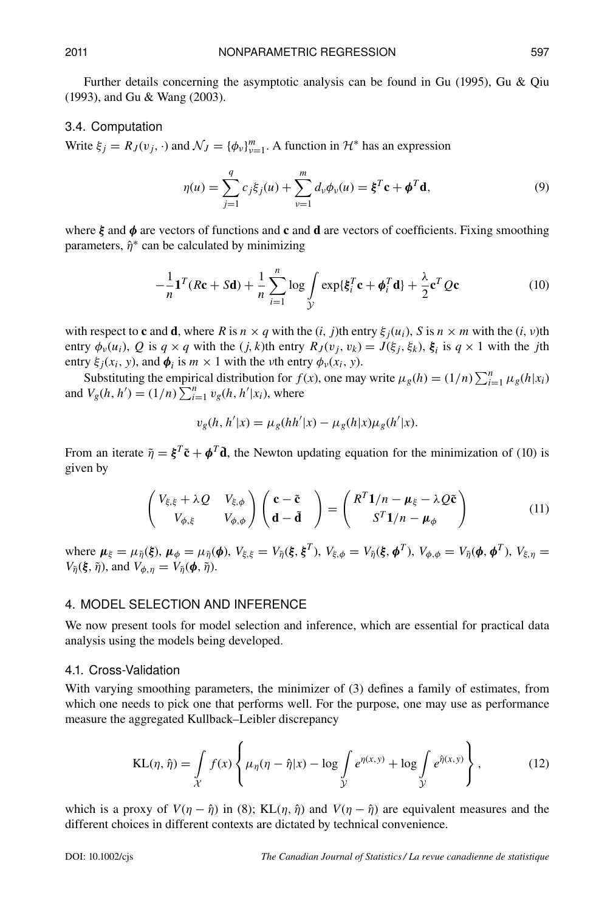Further details concerning the asymptotic analysis can be found in Gu (1995), Gu & Qiu (1993), and Gu & Wang (2003).

# 3.4. Computation

Write  $\xi_j = R_J(v_j, \cdot)$  and  $\mathcal{N}_J = {\phi_v}_{v=1}^m$ . A function in  $\mathcal{H}^*$  has an expression

$$
\eta(u) = \sum_{j=1}^{q} c_j \xi_j(u) + \sum_{\nu=1}^{m} d_{\nu} \phi_{\nu}(u) = \xi^T \mathbf{c} + \boldsymbol{\phi}^T \mathbf{d},
$$
\n(9)

where *ξ* and *φ* are vectors of functions and **c** and **d** are vectors of coefficients. Fixing smoothing parameters,  $\hat{\eta}^*$  can be calculated by minimizing

$$
-\frac{1}{n}\mathbf{1}^T(R\mathbf{c} + S\mathbf{d}) + \frac{1}{n}\sum_{i=1}^n \log \int_{\mathcal{Y}} \exp\{\boldsymbol{\xi}_i^T \mathbf{c} + \boldsymbol{\phi}_i^T \mathbf{d}\} + \frac{\lambda}{2}\mathbf{c}^T Q \mathbf{c}
$$
(10)

with respect to **c** and **d**, where R is  $n \times q$  with the (i, j)th entry  $\xi_i(u_i)$ , S is  $n \times m$  with the (i, v)th entry  $\phi_{\nu}(u_i)$ , Q is  $q \times q$  with the  $(j, k)$ th entry  $R_J(v_i, v_k) = J(\xi_j, \xi_k)$ ,  $\xi_i$  is  $q \times 1$  with the jth entry  $\xi_j(x_i, y)$ , and  $\phi_i$  is  $m \times 1$  with the *v*th entry  $\phi_\nu(x_i, y)$ .

Substituting the empirical distribution for  $f(x)$ , one may write  $\mu_g(h) = (1/n) \sum_{i=1}^n \mu_g(h|x_i)$ and  $V_g(h, h') = (1/n) \sum_{i=1}^n v_g(h, h'|x_i)$ , where

$$
v_g(h, h'|x) = \mu_g(hh'|x) - \mu_g(h|x)\mu_g(h'|x).
$$

From an iterate  $\tilde{\eta} = \xi^T \tilde{c} + \phi^T \tilde{d}$ , the Newton updating equation for the minimization of (10) is given by

$$
\begin{pmatrix}\nV_{\xi,\xi} + \lambda Q & V_{\xi,\phi} \\
V_{\phi,\xi} & V_{\phi,\phi}\n\end{pmatrix}\n\begin{pmatrix}\n\mathbf{c} - \tilde{\mathbf{c}} \\
\mathbf{d} - \tilde{\mathbf{d}}\n\end{pmatrix} =\n\begin{pmatrix}\nR^T \mathbf{1}/n - \mu_{\xi} - \lambda Q \tilde{\mathbf{c}} \\
S^T \mathbf{1}/n - \mu_{\phi}\n\end{pmatrix}
$$
\n(11)

where  $\mu_{\xi} = \mu_{\tilde{\eta}}(\xi)$ ,  $\mu_{\phi} = \mu_{\tilde{\eta}}(\phi)$ ,  $V_{\xi,\xi} = V_{\tilde{\eta}}(\xi, \xi^T)$ ,  $V_{\xi,\phi} = V_{\tilde{\eta}}(\xi, \phi^T)$ ,  $V_{\phi,\phi} = V_{\tilde{\eta}}(\phi, \phi^T)$ ,  $V_{\xi,\eta} = V_{\tilde{\eta}}(\phi, \phi^T)$  $V_{\tilde{\eta}}(\xi, \tilde{\eta})$ , and  $V_{\phi, \eta} = V_{\tilde{\eta}}(\boldsymbol{\phi}, \tilde{\eta})$ .

# 4. MODEL SELECTION AND INFERENCE

We now present tools for model selection and inference, which are essential for practical data analysis using the models being developed.

# 4.1. Cross-Validation

With varying smoothing parameters, the minimizer of (3) defines a family of estimates, from which one needs to pick one that performs well. For the purpose, one may use as performance measure the aggregated Kullback–Leibler discrepancy

$$
KL(\eta, \hat{\eta}) = \int_{\mathcal{X}} f(x) \left\{ \mu_{\eta}(\eta - \hat{\eta}|x) - \log \int_{\mathcal{Y}} e^{\eta(x, y)} + \log \int_{\mathcal{Y}} e^{\hat{\eta}(x, y)} \right\},
$$
(12)

which is a proxy of  $V(\eta - \hat{\eta})$  in (8); KL $(\eta, \hat{\eta})$  and  $V(\eta - \hat{\eta})$  are equivalent measures and the different choices in different contexts are dictated by technical convenience.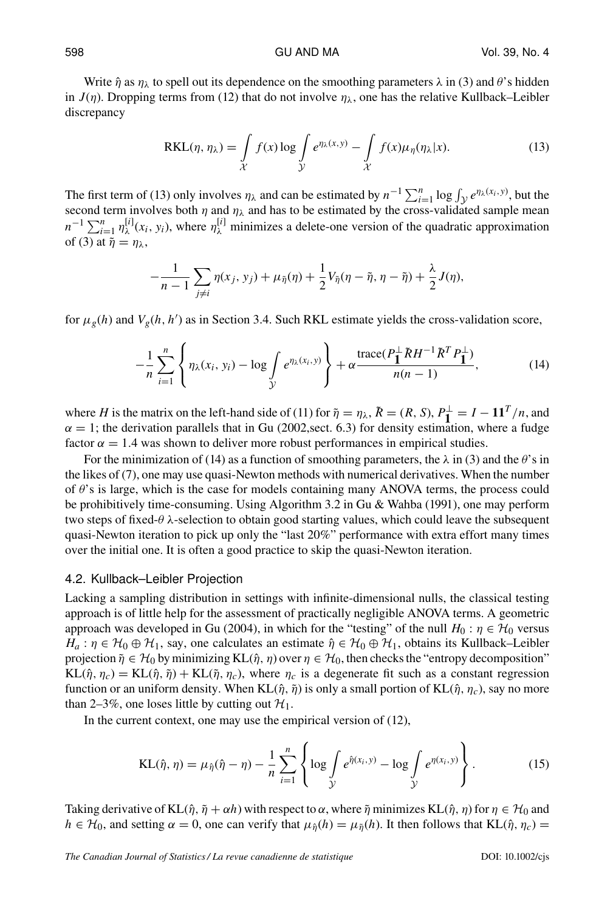Write  $\hat{\eta}$  as  $\eta_{\lambda}$  to spell out its dependence on the smoothing parameters  $\lambda$  in (3) and  $\theta$ 's hidden in  $J(\eta)$ . Dropping terms from (12) that do not involve  $\eta_{\lambda}$ , one has the relative Kullback–Leibler discrepancy

$$
RKL(\eta, \eta_{\lambda}) = \int_{\mathcal{X}} f(x) \log \int_{\mathcal{Y}} e^{\eta_{\lambda}(x, y)} - \int_{\mathcal{X}} f(x) \mu_{\eta}(\eta_{\lambda}|x). \tag{13}
$$

The first term of (13) only involves  $\eta_{\lambda}$  and can be estimated by  $n^{-1} \sum_{i=1}^{n} \log \int_{\mathcal{Y}} e^{\eta_{\lambda}(x_i, y)}$ , but the second term involves both  $\eta$  and  $\eta_{\lambda}$  and has to be estimated by the cross-validated sample mean  $n^{-1} \sum_{i=1}^n \eta_{\lambda}^{[i]}(x_i, y_i)$ , where  $\eta_{\lambda}^{[i]}$  minimizes a delete-one version of the quadratic approximation of (3) at  $\tilde{\eta} = \eta_{\lambda}$ ,

$$
-\frac{1}{n-1}\sum_{j\neq i}\eta(x_j, y_j) + \mu_{\tilde{\eta}}(\eta) + \frac{1}{2}V_{\tilde{\eta}}(\eta - \tilde{\eta}, \eta - \tilde{\eta}) + \frac{\lambda}{2}J(\eta),
$$

for  $\mu_g(h)$  and  $V_g(h, h')$  as in Section 3.4. Such RKL estimate yields the cross-validation score,

$$
-\frac{1}{n}\sum_{i=1}^{n}\left\{\eta_{\lambda}(x_{i}, y_{i})-\log\int\limits_{\mathcal{Y}}e^{\eta_{\lambda}(x_{i}, y)}\right\}+\alpha\frac{\text{trace}(P_{1}^{\perp}\tilde{R}H^{-1}\tilde{R}^{T}P_{1}^{\perp})}{n(n-1)},
$$
(14)

where H is the matrix on the left-hand side of (11) for  $\tilde{\eta} = \eta_{\lambda}$ ,  $\tilde{R} = (R, S)$ ,  $P_{\mathbf{1}}^{\perp} = I - \mathbf{1}\mathbf{1}^T/n$ , and  $\alpha = 1$ ; the derivation parallels that in Gu (2002, sect. 6.3) for density estimation, where a fudge factor  $\alpha = 1.4$  was shown to deliver more robust performances in empirical studies.

For the minimization of (14) as a function of smoothing parameters, the  $\lambda$  in (3) and the  $\theta$ 's in the likes of (7), one may use quasi-Newton methods with numerical derivatives. When the number of  $\theta$ 's is large, which is the case for models containing many ANOVA terms, the process could be prohibitively time-consuming. Using Algorithm 3.2 in Gu & Wahba (1991), one may perform two steps of fixed- $\theta$   $\lambda$ -selection to obtain good starting values, which could leave the subsequent quasi-Newton iteration to pick up only the "last 20%" performance with extra effort many times over the initial one. It is often a good practice to skip the quasi-Newton iteration.

## 4.2. Kullback–Leibler Projection

Lacking a sampling distribution in settings with infinite-dimensional nulls, the classical testing approach is of little help for the assessment of practically negligible ANOVA terms. A geometric approach was developed in Gu (2004), in which for the "testing" of the null  $H_0 : \eta \in H_0$  versus  $H_a: \eta \in \mathcal{H}_0 \oplus \mathcal{H}_1$ , say, one calculates an estimate  $\hat{\eta} \in \mathcal{H}_0 \oplus \mathcal{H}_1$ , obtains its Kullback–Leibler projection  $\tilde{\eta} \in H_0$  by minimizing KL( $\hat{\eta}$ ,  $\eta$ ) over  $\eta \in H_0$ , then checks the "entropy decomposition"  $KL(\hat{\eta}, \eta_c) = KL(\hat{\eta}, \tilde{\eta}) + KL(\tilde{\eta}, \eta_c)$ , where  $\eta_c$  is a degenerate fit such as a constant regression function or an uniform density. When KL( $\hat{\eta}$ ,  $\tilde{\eta}$ ) is only a small portion of KL( $\hat{\eta}$ ,  $\eta_c$ ), say no more than 2–3%, one loses little by cutting out  $\mathcal{H}_1$ .

In the current context, one may use the empirical version of (12),

$$
KL(\hat{\eta}, \eta) = \mu_{\hat{\eta}}(\hat{\eta} - \eta) - \frac{1}{n} \sum_{i=1}^{n} \left\{ \log \int_{\mathcal{Y}} e^{\hat{\eta}(x_i, y)} - \log \int_{\mathcal{Y}} e^{\eta(x_i, y)} \right\}.
$$
 (15)

Taking derivative of KL( $\hat{\eta}$ ,  $\tilde{\eta} + \alpha h$ ) with respect to  $\alpha$ , where  $\tilde{\eta}$  minimizes KL( $\hat{\eta}$ ,  $\eta$ ) for  $\eta \in H_0$  and  $h \in \mathcal{H}_0$ , and setting  $\alpha = 0$ , one can verify that  $\mu_{\hat{\eta}}(h) = \mu_{\tilde{\eta}}(h)$ . It then follows that KL( $\hat{\eta}, \eta_c$ )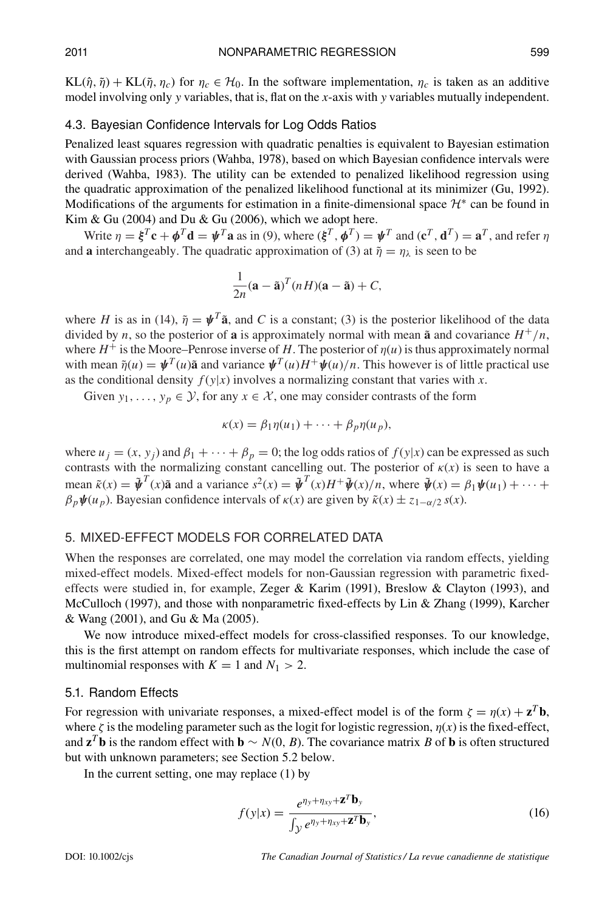$KL(\hat{\eta}, \hat{\eta}) + KL(\tilde{\eta}, \eta_c)$  for  $\eta_c \in \mathcal{H}_0$ . In the software implementation,  $\eta_c$  is taken as an additive model involving only y variables, that is, flat on the  $x$ -axis with y variables mutually independent.

# 4.3. Bayesian Confidence Intervals for Log Odds Ratios

Penalized least squares regression with quadratic penalties is equivalent to Bayesian estimation with Gaussian process priors (Wahba, 1978), based on which Bayesian confidence intervals were derived (Wahba, 1983). The utility can be extended to penalized likelihood regression using the quadratic approximation of the penalized likelihood functional at its minimizer (Gu, 1992). Modifications of the arguments for estimation in a finite-dimensional space  $\mathcal{H}^*$  can be found in Kim & Gu (2004) and Du & Gu (2006), which we adopt here.

Write  $\eta = \xi^T \mathbf{c} + \phi^T \mathbf{d} = \psi^T \mathbf{a}$  as in (9), where  $(\xi^T, \phi^T) = \psi^T$  and  $(\mathbf{c}^T, \mathbf{d}^T) = \mathbf{a}^T$ , and refer  $\eta$ and **a** interchangeably. The quadratic approximation of (3) at  $\tilde{\eta} = \eta_{\lambda}$  is seen to be

$$
\frac{1}{2n}(\mathbf{a} - \tilde{\mathbf{a}})^T(nH)(\mathbf{a} - \tilde{\mathbf{a}}) + C,
$$

where H is as in (14),  $\tilde{\eta} = \psi^T \tilde{a}$ , and C is a constant; (3) is the posterior likelihood of the data divided by n, so the posterior of **a** is approximately normal with mean  $\tilde{a}$  and covariance  $H^+/n$ , where  $H^+$  is the Moore–Penrose inverse of H. The posterior of  $\eta(u)$  is thus approximately normal with mean  $\tilde{\eta}(u) = \psi^T(u)\tilde{a}$  and variance  $\psi^T(u)H^+\psi(u)/n$ . This however is of little practical use as the conditional density  $f(y|x)$  involves a normalizing constant that varies with x.

Given  $y_1, \ldots, y_p \in \mathcal{Y}$ , for any  $x \in \mathcal{X}$ , one may consider contrasts of the form

$$
\kappa(x) = \beta_1 \eta(u_1) + \cdots + \beta_p \eta(u_p),
$$

where  $u_j = (x, y_j)$  and  $\beta_1 + \cdots + \beta_p = 0$ ; the log odds ratios of  $f(y|x)$  can be expressed as such contrasts with the normalizing constant cancelling out. The posterior of  $\kappa(x)$  is seen to have a mean  $\tilde{\mathbf{\kappa}}(x) = \tilde{\boldsymbol{\psi}}^T(x)\tilde{\mathbf{a}}$  and a variance  $s^2(x) = \tilde{\boldsymbol{\psi}}^T(x)H^+\tilde{\boldsymbol{\psi}}(x)/n$ , where  $\tilde{\boldsymbol{\psi}}(x) = \beta_1 \boldsymbol{\psi}(u_1) + \cdots$  $\beta_p \psi(u_p)$ . Bayesian confidence intervals of  $\kappa(x)$  are given by  $\tilde{\kappa}(x) \pm z_{1-\alpha/2} s(x)$ .

# 5. MIXED-EFFECT MODELS FOR CORRELATED DATA

When the responses are correlated, one may model the correlation via random effects, yielding mixed-effect models. Mixed-effect models for non-Gaussian regression with parametric fixedeffects were studied in, for example, Zeger & Karim (1991), Breslow & Clayton (1993), and McCulloch (1997), and those with nonparametric fixed-effects by Lin & Zhang (1999), Karcher & Wang (2001), and Gu & Ma (2005).

We now introduce mixed-effect models for cross-classified responses. To our knowledge, this is the first attempt on random effects for multivariate responses, which include the case of multinomial responses with  $K = 1$  and  $N_1 > 2$ .

## 5.1. Random Effects

For regression with univariate responses, a mixed-effect model is of the form  $\zeta = \eta(x) + \mathbf{z}^T \mathbf{b}$ , where  $\zeta$  is the modeling parameter such as the logit for logistic regression,  $\eta(x)$  is the fixed-effect, and  $z<sup>T</sup>$  **b** is the random effect with **b** ∼ N(0, B). The covariance matrix B of **b** is often structured but with unknown parameters; see Section 5.2 below.

In the current setting, one may replace (1) by

$$
f(y|x) = \frac{e^{\eta_y + \eta_{xy} + \mathbf{Z}^T \mathbf{b}_y}}{\int y e^{\eta_y + \eta_{xy} + \mathbf{Z}^T \mathbf{b}_y}},
$$
(16)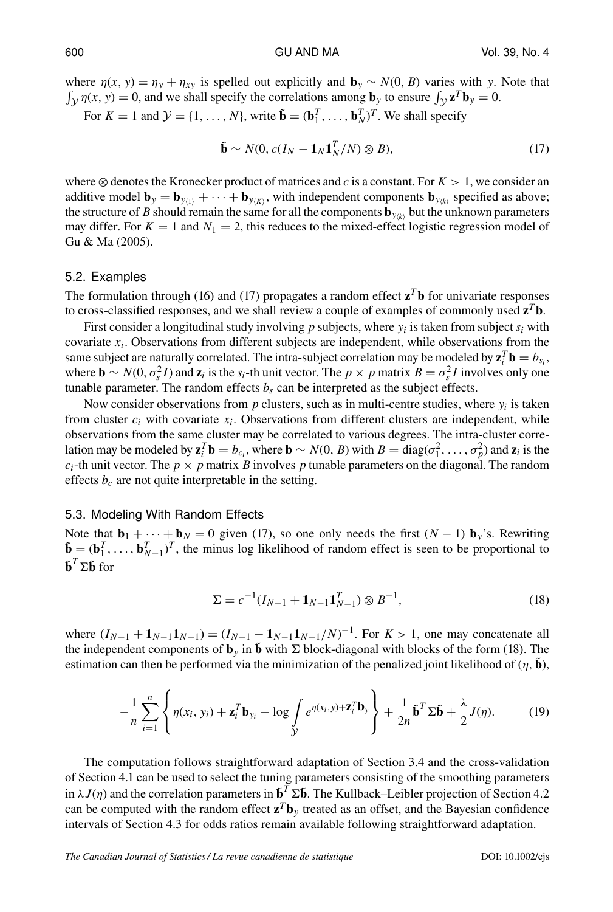where  $\eta(x, y) = \eta_y + \eta_{xy}$  is spelled out explicitly and **b**<sub>y</sub> ~  $N(0, B)$  varies with y. Note that  $\int_{\mathcal{Y}} \eta(x, y) = 0$ , and we shall specify the correlations among **b**<sub>y</sub> to ensure  $\int_{\mathcal{Y}} \mathbf{z}^T \mathbf{b}_y = 0$ .

For  $K = 1$  and  $\mathcal{Y} = \{1, ..., N\}$ , write  $\tilde{\mathbf{b}} = (\mathbf{b}_1^T, ..., \mathbf{b}_N^T)^T$ . We shall specify

$$
\tilde{\mathbf{b}} \sim N(0, c(I_N - \mathbf{1}_N \mathbf{1}_N^T / N) \otimes B), \tag{17}
$$

where ⊗ denotes the Kronecker product of matrices and c is a constant. For  $K > 1$ , we consider an additive model  $\mathbf{b}_y = \mathbf{b}_{y_{(1)}} + \cdots + \mathbf{b}_{y_{(K)}}$ , with independent components  $\mathbf{b}_{y_{(k)}}$  specified as above; the structure of B should remain the same for all the components  $\mathbf{b}_{y_{(k)}}$  but the unknown parameters may differ. For  $K = 1$  and  $N_1 = 2$ , this reduces to the mixed-effect logistic regression model of Gu & Ma (2005).

#### 5.2. Examples

The formulation through (16) and (17) propagates a random effect  $z<sup>T</sup>$  **b** for univariate responses to cross-classified responses, and we shall review a couple of examples of commonly used  $z<sup>T</sup>b$ .

First consider a longitudinal study involving p subjects, where  $y_i$  is taken from subject  $s_i$  with covariate  $x_i$ . Observations from different subjects are independent, while observations from the same subject are naturally correlated. The intra-subject correlation may be modeled by  $\mathbf{z}_i^T \mathbf{b} = b_{s_i}$ , where  $\mathbf{b} \sim N(0, \sigma_s^2 I)$  and  $\mathbf{z}_i$  is the s<sub>i</sub>-th unit vector. The  $p \times p$  matrix  $B = \sigma_s^2 I$  involves only one tunable parameter. The random effects  $b_s$  can be interpreted as the subject effects.

Now consider observations from  $p$  clusters, such as in multi-centre studies, where  $y_i$  is taken from cluster  $c_i$  with covariate  $x_i$ . Observations from different clusters are independent, while observations from the same cluster may be correlated to various degrees. The intra-cluster correlation may be modeled by  $\mathbf{z}_i^T \mathbf{b} = b_{c_i}$ , where  $\mathbf{b} \sim N(0, B)$  with  $B = \text{diag}(\sigma_1^2, \dots, \sigma_p^2)$  and  $\mathbf{z}_i$  is the  $c_i$ -th unit vector. The  $p \times p$  matrix B involves p tunable parameters on the diagonal. The random effects  $b_c$  are not quite interpretable in the setting.

## 5.3. Modeling With Random Effects

Note that  $\mathbf{b}_1 + \cdots + \mathbf{b}_N = 0$  given (17), so one only needs the first  $(N - 1)$   $\mathbf{b}_y$ 's. Rewriting  $\tilde{\mathbf{b}} = (\mathbf{b}_1^T, \dots, \mathbf{b}_{N-1}^T)^T$ , the minus log likelihood of random effect is seen to be proportional to  $\tilde{\mathbf{b}}^T \Sigma \tilde{\mathbf{b}}$  for

$$
\Sigma = c^{-1}(I_{N-1} + 1_{N-1}1_{N-1}^T) \otimes B^{-1},
$$
\n(18)

where  $(I_{N-1} + 1_{N-1}I_{N-1}) = (I_{N-1} - 1_{N-1}I_{N-1}/N)^{-1}$ . For  $K > 1$ , one may concatenate all the independent components of  $\mathbf{b}_y$  in  $\tilde{\mathbf{b}}$  with  $\Sigma$  block-diagonal with blocks of the form (18). The estimation can then be performed via the minimization of the penalized joint likelihood of  $(\eta, \mathbf{b})$ ,

$$
-\frac{1}{n}\sum_{i=1}^n\left\{\eta(x_i, y_i) + \mathbf{z}_i^T\mathbf{b}_{y_i} - \log \int\limits_{\mathcal{Y}}e^{\eta(x_i, y) + \mathbf{z}_i^T\mathbf{b}_y}\right\} + \frac{1}{2n}\tilde{\mathbf{b}}^T\Sigma\tilde{\mathbf{b}} + \frac{\lambda}{2}J(\eta). \tag{19}
$$

The computation follows straightforward adaptation of Section 3.4 and the cross-validation of Section 4.1 can be used to select the tuning parameters consisting of the smoothing parameters in  $\lambda J(\eta)$  and the correlation parameters in  $\tilde{\mathbf{b}}^T \Sigma \tilde{\mathbf{b}}$ . The Kullback–Leibler projection of Section 4.2 can be computed with the random effect  $z^T b_y$  treated as an offset, and the Bayesian confidence intervals of Section 4.3 for odds ratios remain available following straightforward adaptation.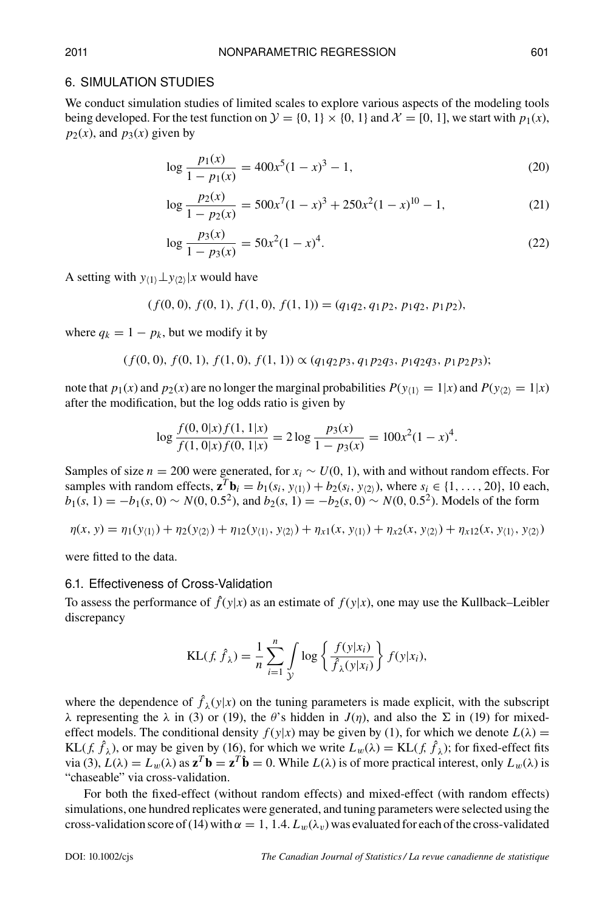# 6. SIMULATION STUDIES

We conduct simulation studies of limited scales to explore various aspects of the modeling tools being developed. For the test function on  $\mathcal{Y} = \{0, 1\} \times \{0, 1\}$  and  $\mathcal{X} = [0, 1]$ , we start with  $p_1(x)$ ,  $p_2(x)$ , and  $p_3(x)$  given by

$$
\log \frac{p_1(x)}{1 - p_1(x)} = 400x^5(1 - x)^3 - 1,\tag{20}
$$

$$
\log \frac{p_2(x)}{1 - p_2(x)} = 500x^7(1 - x)^3 + 250x^2(1 - x)^{10} - 1,\tag{21}
$$

$$
\log \frac{p_3(x)}{1 - p_3(x)} = 50x^2(1 - x)^4. \tag{22}
$$

A setting with  $y_{(1)} \perp y_{(2)} |x$  would have

$$
(f(0,0), f(0,1), f(1,0), f(1,1)) = (q_1q_2, q_1p_2, p_1q_2, p_1p_2),
$$

where  $q_k = 1 - p_k$ , but we modify it by

$$
(f(0,0), f(0,1), f(1,0), f(1,1)) \propto (q_1q_2p_3, q_1p_2q_3, p_1q_2q_3, p_1p_2p_3);
$$

note that  $p_1(x)$  and  $p_2(x)$  are no longer the marginal probabilities  $P(y_{(1)} = 1|x)$  and  $P(y_{(2)} = 1|x)$ after the modification, but the log odds ratio is given by

$$
\log \frac{f(0,0|x)f(1,1|x)}{f(1,0|x)f(0,1|x)} = 2\log \frac{p_3(x)}{1 - p_3(x)} = 100x^2(1 - x)^4.
$$

Samples of size  $n = 200$  were generated, for  $x_i \sim U(0, 1)$ , with and without random effects. For samples with random effects,  $\mathbf{z}^T \mathbf{b}_i = b_1(s_i, y_{(1)}) + b_2(s_i, y_{(2)})$ , where  $s_i \in \{1, \ldots, 20\}$ , 10 each,  $b_1(s, 1) = -b_1(s, 0) \sim N(0, 0.5^2)$ , and  $b_2(s, 1) = -b_2(s, 0) \sim N(0, 0.5^2)$ . Models of the form

$$
\eta(x, y) = \eta_1(y_{\langle 1 \rangle}) + \eta_2(y_{\langle 2 \rangle}) + \eta_{12}(y_{\langle 1 \rangle}, y_{\langle 2 \rangle}) + \eta_{x1}(x, y_{\langle 1 \rangle}) + \eta_{x2}(x, y_{\langle 2 \rangle}) + \eta_{x12}(x, y_{\langle 1 \rangle}, y_{\langle 2 \rangle})
$$

were fitted to the data.

# 6.1. Effectiveness of Cross-Validation

To assess the performance of  $\hat{f}(y|x)$  as an estimate of  $f(y|x)$ , one may use the Kullback–Leibler discrepancy

$$
KL(f, \hat{f}_{\lambda}) = \frac{1}{n} \sum_{i=1}^{n} \int \log \left\{ \frac{f(y|x_i)}{\hat{f}_{\lambda}(y|x_i)} \right\} f(y|x_i),
$$

where the dependence of  $\hat{f}_{\lambda}(y|x)$  on the tuning parameters is made explicit, with the subscript λ representing the λ in (3) or (19), the θ's hidden in  $J(η)$ , and also the Σ in (19) for mixedeffect models. The conditional density  $f(y|x)$  may be given by (1), for which we denote  $L(\lambda)$  = KL(*f*,  $\hat{f}_{\lambda}$ ), or may be given by (16), for which we write  $L_w(\lambda) = \text{KL}(f, \hat{f}_{\lambda})$ ; for fixed-effect fits via (3),  $L(\lambda) = L_w(\lambda)$  as  $\mathbf{z}^T \mathbf{b} = \mathbf{z}^T \mathbf{\hat{b}} = 0$ . While  $L(\lambda)$  is of more practical interest, only  $L_w(\lambda)$  is "chaseable" via cross-validation.

For both the fixed-effect (without random effects) and mixed-effect (with random effects) simulations, one hundred replicates were generated, and tuning parameters were selected using the cross-validation score of (14) with  $\alpha = 1, 1.4$ . L<sub>w</sub>( $\lambda_v$ ) was evaluated for each of the cross-validated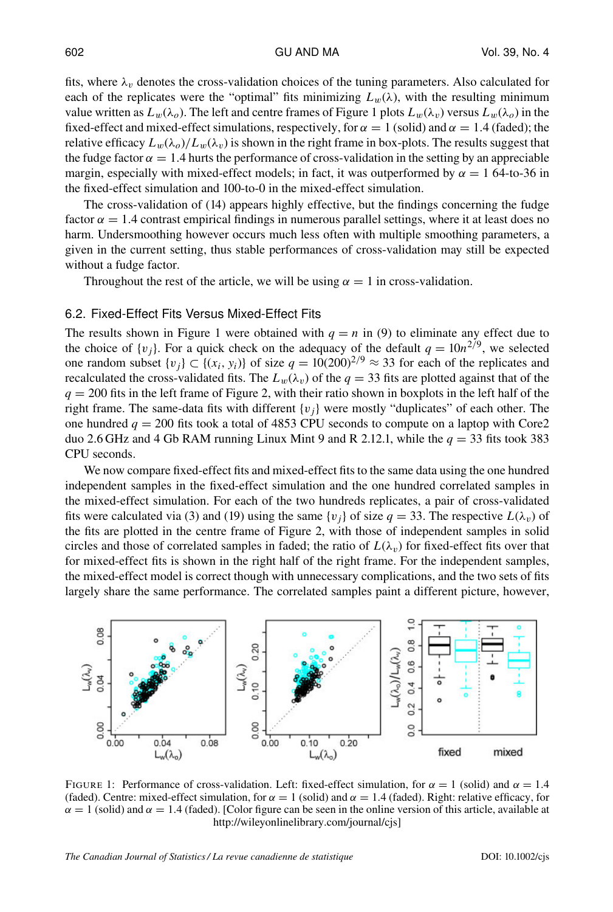fits, where  $\lambda_v$  denotes the cross-validation choices of the tuning parameters. Also calculated for each of the replicates were the "optimal" fits minimizing  $L_w(\lambda)$ , with the resulting minimum value written as  $L_w(\lambda_o)$ . The left and centre frames of Figure 1 plots  $L_w(\lambda_v)$  versus  $L_w(\lambda_o)$  in the fixed-effect and mixed-effect simulations, respectively, for  $\alpha = 1$  (solid) and  $\alpha = 1.4$  (faded); the relative efficacy  $L_w(\lambda_o)/L_w(\lambda_v)$  is shown in the right frame in box-plots. The results suggest that the fudge factor  $\alpha = 1.4$  hurts the performance of cross-validation in the setting by an appreciable margin, especially with mixed-effect models; in fact, it was outperformed by  $\alpha = 1$  64-to-36 in the fixed-effect simulation and 100-to-0 in the mixed-effect simulation.

The cross-validation of (14) appears highly effective, but the findings concerning the fudge factor  $\alpha = 1.4$  contrast empirical findings in numerous parallel settings, where it at least does no harm. Undersmoothing however occurs much less often with multiple smoothing parameters, a given in the current setting, thus stable performances of cross-validation may still be expected without a fudge factor.

Throughout the rest of the article, we will be using  $\alpha = 1$  in cross-validation.

# 6.2. Fixed-Effect Fits Versus Mixed-Effect Fits

The results shown in Figure 1 were obtained with  $q = n$  in (9) to eliminate any effect due to the choice of  $\{v_i\}$ . For a quick check on the adequacy of the default  $q = 10n^{2/9}$ , we selected one random subset  $\{v_j\} \subset \{(x_i, y_i)\}\$  of size  $q = 10(200)^{2/9} \approx 33$  for each of the replicates and recalculated the cross-validated fits. The  $L_w(\lambda_v)$  of the  $q = 33$  fits are plotted against that of the  $q = 200$  fits in the left frame of Figure 2, with their ratio shown in boxplots in the left half of the right frame. The same-data fits with different  ${v_i}$  were mostly "duplicates" of each other. The one hundred  $q = 200$  fits took a total of 4853 CPU seconds to compute on a laptop with Core2 duo 2.6 GHz and 4 Gb RAM running Linux Mint 9 and R 2.12.1, while the  $q = 33$  fits took 383 CPU seconds.

We now compare fixed-effect fits and mixed-effect fits to the same data using the one hundred independent samples in the fixed-effect simulation and the one hundred correlated samples in the mixed-effect simulation. For each of the two hundreds replicates, a pair of cross-validated fits were calculated via (3) and (19) using the same {v<sub>i</sub>} of size  $q = 33$ . The respective  $L(\lambda_v)$  of the fits are plotted in the centre frame of Figure 2, with those of independent samples in solid circles and those of correlated samples in faded; the ratio of  $L(\lambda_v)$  for fixed-effect fits over that for mixed-effect fits is shown in the right half of the right frame. For the independent samples, the mixed-effect model is correct though with unnecessary complications, and the two sets of fits largely share the same performance. The correlated samples paint a different picture, however,



FIGURE 1: Performance of cross-validation. Left: fixed-effect simulation, for  $\alpha = 1$  (solid) and  $\alpha = 1.4$ (faded). Centre: mixed-effect simulation, for  $\alpha = 1$  (solid) and  $\alpha = 1.4$  (faded). Right: relative efficacy, for  $\alpha = 1$  (solid) and  $\alpha = 1.4$  (faded). [Color figure can be seen in the online version of this article, available at http://wileyonlinelibrary.com/journal/cjs]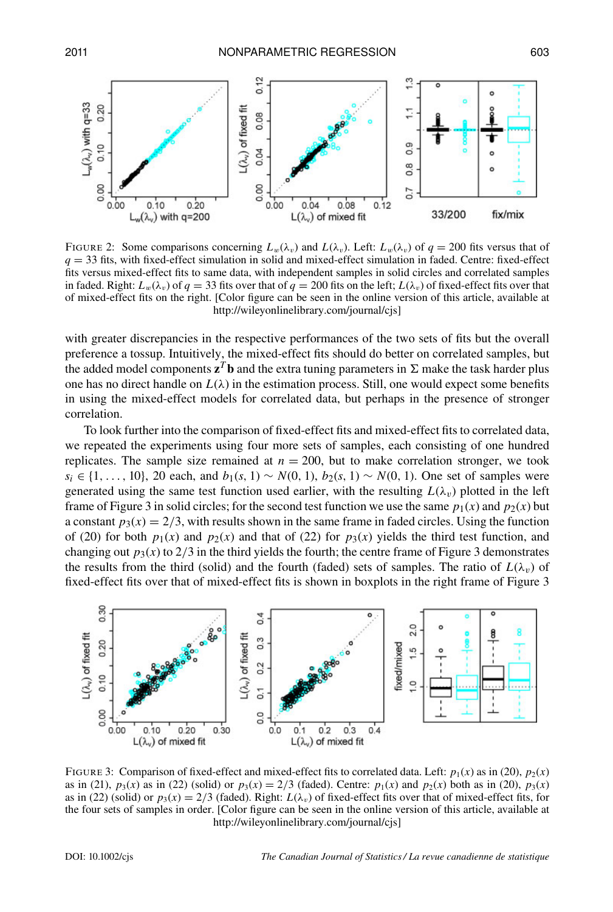



FIGURE 2: Some comparisons concerning  $L_w(\lambda_v)$  and  $L(\lambda_v)$ . Left:  $L_w(\lambda_v)$  of  $q = 200$  fits versus that of  $q = 33$  fits, with fixed-effect simulation in solid and mixed-effect simulation in faded. Centre: fixed-effect fits versus mixed-effect fits to same data, with independent samples in solid circles and correlated samples in faded. Right:  $L_w(\lambda_v)$  of  $q = 33$  fits over that of  $q = 200$  fits on the left;  $L(\lambda_v)$  of fixed-effect fits over that of mixed-effect fits on the right. [Color figure can be seen in the online version of this article, available at http://wileyonlinelibrary.com/journal/cjs]

with greater discrepancies in the respective performances of the two sets of fits but the overall preference a tossup. Intuitively, the mixed-effect fits should do better on correlated samples, but the added model components  $\mathbf{z}^T \mathbf{b}$  and the extra tuning parameters in  $\Sigma$  make the task harder plus one has no direct handle on  $L(\lambda)$  in the estimation process. Still, one would expect some benefits in using the mixed-effect models for correlated data, but perhaps in the presence of stronger correlation.

To look further into the comparison of fixed-effect fits and mixed-effect fits to correlated data, we repeated the experiments using four more sets of samples, each consisting of one hundred replicates. The sample size remained at  $n = 200$ , but to make correlation stronger, we took  $s_i \in \{1, \ldots, 10\}$ , 20 each, and  $b_1(s, 1) \sim N(0, 1)$ ,  $b_2(s, 1) \sim N(0, 1)$ . One set of samples were generated using the same test function used earlier, with the resulting  $L(\lambda_v)$  plotted in the left frame of Figure 3 in solid circles; for the second test function we use the same  $p_1(x)$  and  $p_2(x)$  but a constant  $p_3(x) = 2/3$ , with results shown in the same frame in faded circles. Using the function of (20) for both  $p_1(x)$  and  $p_2(x)$  and that of (22) for  $p_3(x)$  yields the third test function, and changing out  $p_3(x)$  to 2/3 in the third yields the fourth; the centre frame of Figure 3 demonstrates the results from the third (solid) and the fourth (faded) sets of samples. The ratio of  $L(\lambda_v)$  of fixed-effect fits over that of mixed-effect fits is shown in boxplots in the right frame of Figure 3



FIGURE 3: Comparison of fixed-effect and mixed-effect fits to correlated data. Left:  $p_1(x)$  as in (20),  $p_2(x)$  as in (21),  $p_3(x)$  as in (22) (solid) or  $p_3(x) = 2/3$  (faded). Centre:  $p_1(x)$  and  $p_2(x)$  both as in (20), as in (22) (solid) or  $p_3(x) = 2/3$  (faded). Right:  $L(\lambda_v)$  of fixed-effect fits over that of mixed-effect fits, for the four sets of samples in order. [Color figure can be seen in the online version of this article, available at http://wileyonlinelibrary.com/journal/cjs]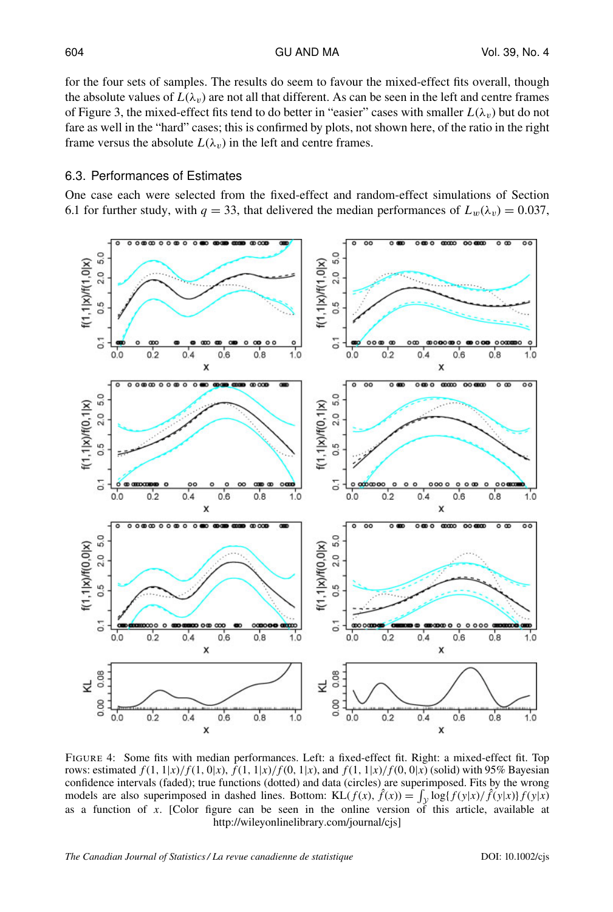for the four sets of samples. The results do seem to favour the mixed-effect fits overall, though the absolute values of  $L(\lambda_v)$  are not all that different. As can be seen in the left and centre frames of Figure 3, the mixed-effect fits tend to do better in "easier" cases with smaller  $L(\lambda_v)$  but do not fare as well in the "hard" cases; this is confirmed by plots, not shown here, of the ratio in the right frame versus the absolute  $L(\lambda_v)$  in the left and centre frames.

# 6.3. Performances of Estimates

One case each were selected from the fixed-effect and random-effect simulations of Section 6.1 for further study, with  $q = 33$ , that delivered the median performances of  $L_w(\lambda_v) = 0.037$ ,



Figure 4: Some fits with median performances. Left: a fixed-effect fit. Right: a mixed-effect fit. Top rows: estimated  $f(1, 1|x)/f(1, 0|x)$ ,  $f(1, 1|x)/f(0, 1|x)$ , and  $f(1, 1|x)/f(0, 0|x)$  (solid) with 95% Bayesian confidence intervals (faded); true functions (dotted) and data (circles) are superimposed. Fits by the wrong models are also superimposed in dashed lines. Bottom: KL $(f(x), \hat{f}(x)) = \int_{\mathcal{Y}} \log\{f(y|x)/\hat{f}(y|x)\} f(y|x)$ as a function of x. [Color figure can be seen in the online version of this article, available at http://wileyonlinelibrary.com/journal/cjs]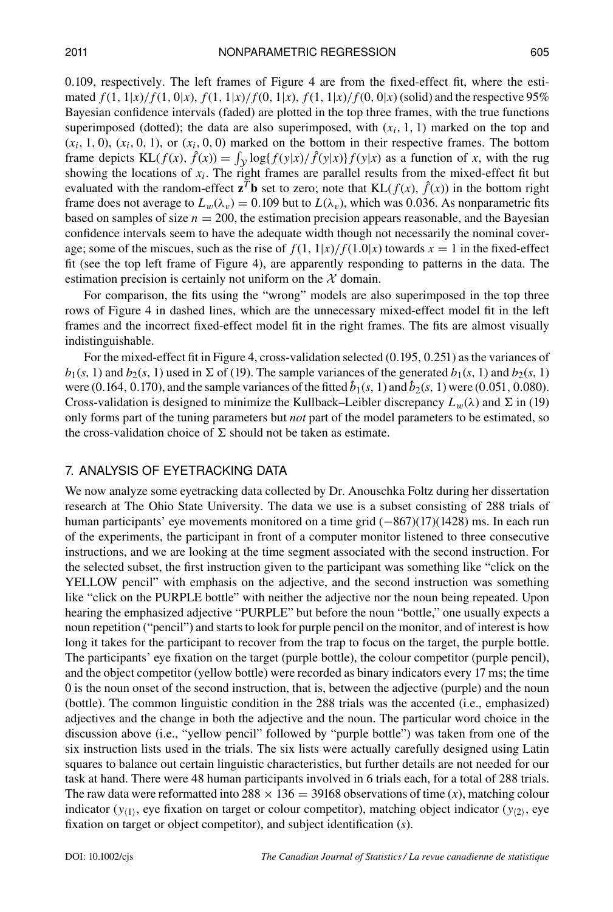0.109, respectively. The left frames of Figure 4 are from the fixed-effect fit, where the estimated  $f(1, 1|x)/f(1, 0|x)$ ,  $f(1, 1|x)/f(0, 1|x)$ ,  $f(1, 1|x)/f(0, 0|x)$  (solid) and the respective 95% Bayesian confidence intervals (faded) are plotted in the top three frames, with the true functions superimposed (dotted); the data are also superimposed, with  $(x<sub>i</sub>, 1, 1)$  marked on the top and  $(x_i, 1, 0)$ ,  $(x_i, 0, 1)$ , or  $(x_i, 0, 0)$  marked on the bottom in their respective frames. The bottom frame depicts  $KL(f(x), \hat{f}(x)) = \int_{\mathcal{Y}} log{f(y|x)/\hat{f}(y|x)}f(y|x)$  as a function of x, with the rug showing the locations of  $x_i$ . The right frames are parallel results from the mixed-effect fit but evaluated with the random-effect  $\mathbf{z}^T \mathbf{b}$  set to zero; note that KL( $f(x)$ ,  $\hat{f}(x)$ ) in the bottom right frame does not average to  $L_w(\lambda_v) = 0.109$  but to  $L(\lambda_v)$ , which was 0.036. As nonparametric fits based on samples of size  $n = 200$ , the estimation precision appears reasonable, and the Bayesian confidence intervals seem to have the adequate width though not necessarily the nominal coverage; some of the miscues, such as the rise of  $f(1, 1|x)/f(1.0|x)$  towards  $x = 1$  in the fixed-effect fit (see the top left frame of Figure 4), are apparently responding to patterns in the data. The estimation precision is certainly not uniform on the  $\chi$  domain.

For comparison, the fits using the "wrong" models are also superimposed in the top three rows of Figure 4 in dashed lines, which are the unnecessary mixed-effect model fit in the left frames and the incorrect fixed-effect model fit in the right frames. The fits are almost visually indistinguishable.

For the mixed-effect fit in Figure 4, cross-validation selected (0.195, 0.251) as the variances of  $b_1(s, 1)$  and  $b_2(s, 1)$  used in  $\Sigma$  of (19). The sample variances of the generated  $b_1(s, 1)$  and  $b_2(s, 1)$ were (0.164, 0.170), and the sample variances of the fitted  $\hat{b}_1(s, 1)$  and  $\hat{b}_2(s, 1)$  were (0.051, 0.080). Cross-validation is designed to minimize the Kullback–Leibler discrepancy  $L_w(\lambda)$  and  $\Sigma$  in (19) only forms part of the tuning parameters but *not* part of the model parameters to be estimated, so the cross-validation choice of  $\Sigma$  should not be taken as estimate.

# 7. ANALYSIS OF EYETRACKING DATA

We now analyze some eyetracking data collected by Dr. Anouschka Foltz during her dissertation research at The Ohio State University. The data we use is a subset consisting of 288 trials of human participants' eye movements monitored on a time grid (−867)(17)(1428) ms. In each run of the experiments, the participant in front of a computer monitor listened to three consecutive instructions, and we are looking at the time segment associated with the second instruction. For the selected subset, the first instruction given to the participant was something like "click on the YELLOW pencil" with emphasis on the adjective, and the second instruction was something like "click on the PURPLE bottle" with neither the adjective nor the noun being repeated. Upon hearing the emphasized adjective "PURPLE" but before the noun "bottle," one usually expects a noun repetition ("pencil") and starts to look for purple pencil on the monitor, and of interest is how long it takes for the participant to recover from the trap to focus on the target, the purple bottle. The participants' eye fixation on the target (purple bottle), the colour competitor (purple pencil), and the object competitor (yellow bottle) were recorded as binary indicators every 17 ms; the time 0 is the noun onset of the second instruction, that is, between the adjective (purple) and the noun (bottle). The common linguistic condition in the 288 trials was the accented (i.e., emphasized) adjectives and the change in both the adjective and the noun. The particular word choice in the discussion above (i.e., "yellow pencil" followed by "purple bottle") was taken from one of the six instruction lists used in the trials. The six lists were actually carefully designed using Latin squares to balance out certain linguistic characteristics, but further details are not needed for our task at hand. There were 48 human participants involved in 6 trials each, for a total of 288 trials. The raw data were reformatted into  $288 \times 136 = 39168$  observations of time (x), matching colour indicator ( $y_{(1)}$ , eye fixation on target or colour competitor), matching object indicator ( $y_{(2)}$ , eye fixation on target or object competitor), and subject identification (s).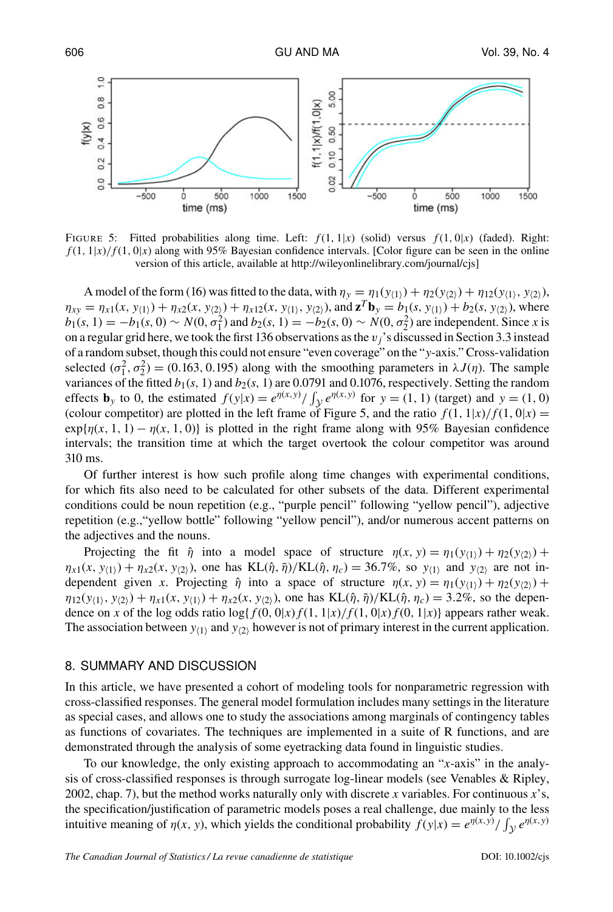

FIGURE 5: Fitted probabilities along time. Left:  $f(1, 1|x)$  (solid) versus  $f(1, 0|x)$  (faded). Right:  $f(1, 1|x)/f(1, 0|x)$  along with 95% Bayesian confidence intervals. [Color figure can be seen in the online version of this article, available at http://wileyonlinelibrary.com/journal/cjs]

A model of the form (16) was fitted to the data, with  $\eta_y = \eta_1(y_{(1)}) + \eta_2(y_{(2)}) + \eta_{12}(y_{(1)}, y_{(2)}),$  $\eta_{xy} = \eta_{x1}(x, y_{(1)}) + \eta_{x2}(x, y_{(2)}) + \eta_{x12}(x, y_{(1)}, y_{(2)})$ , and  $\mathbf{z}^T \mathbf{b}_y = b_1(s, y_{(1)}) + b_2(s, y_{(2)})$ , where  $b_1(s, 1) = -b_1(s, 0) \sim N(0, \sigma_1^2)$  and  $b_2(s, 1) = -b_2(s, 0) \sim N(0, \sigma_2^2)$  are independent. Since x is on a regular grid here, we took the first 136 observations as the  $v_j$ 's discussed in Section 3.3 instead of a random subset, though this could not ensure "even coverage" on the "y-axis." Cross-validation selected  $(\sigma_1^2, \sigma_2^2) = (0.163, 0.195)$  along with the smoothing parameters in  $\lambda J(\eta)$ . The sample variances of the fitted  $b_1(s, 1)$  and  $b_2(s, 1)$  are 0.0791 and 0.1076, respectively. Setting the random effects **b**<sub>y</sub> to 0, the estimated  $f(y|x) = e^{\eta(x,y)}/\int_{\mathcal{Y}} e^{\eta(x,y)}$  for  $y = (1, 1)$  (target) and  $y = (1, 0)$ (colour competitor) are plotted in the left frame of Figure 5, and the ratio  $f(1, 1|x)/f(1, 0|x) =$  $\exp{\eta(x, 1, 1) - \eta(x, 1, 0)}$  is plotted in the right frame along with 95% Bayesian confidence intervals; the transition time at which the target overtook the colour competitor was around 310 ms.

Of further interest is how such profile along time changes with experimental conditions, for which fits also need to be calculated for other subsets of the data. Different experimental conditions could be noun repetition (e.g., "purple pencil" following "yellow pencil"), adjective repetition (e.g.,"yellow bottle" following "yellow pencil"), and/or numerous accent patterns on the adjectives and the nouns.

Projecting the fit  $\hat{\eta}$  into a model space of structure  $\eta(x, y) = \eta_1(y_{(1)}) + \eta_2(y_{(2)}) +$  $\eta_{x1}(x, y_{(1)}) + \eta_{x2}(x, y_{(2)})$ , one has KL $(\hat{\eta}, \tilde{\eta})/KL(\hat{\eta}, \eta_c) = 36.7\%$ , so  $y_{(1)}$  and  $y_{(2)}$  are not independent given x. Projecting  $\hat{\eta}$  into a space of structure  $\eta(x, y) = \eta_1(y_{(1)}) + \eta_2(y_{(2)}) +$  $\eta_{12}(y_{(1)}, y_{(2)}) + \eta_{x1}(x, y_{(1)}) + \eta_{x2}(x, y_{(2)})$ , one has  $KL(\hat{\eta}, \tilde{\eta})/KL(\hat{\eta}, \eta_c) = 3.2\%$ , so the dependence on x of the log odds ratio  $\log\{f(0, 0|x)f(1, 1|x)/f(1, 0|x)f(0, 1|x)\}\$  appears rather weak. The association between  $y_{(1)}$  and  $y_{(2)}$  however is not of primary interest in the current application.

# 8. SUMMARY AND DISCUSSION

In this article, we have presented a cohort of modeling tools for nonparametric regression with cross-classified responses. The general model formulation includes many settings in the literature as special cases, and allows one to study the associations among marginals of contingency tables as functions of covariates. The techniques are implemented in a suite of R functions, and are demonstrated through the analysis of some eyetracking data found in linguistic studies.

To our knowledge, the only existing approach to accommodating an "x-axis" in the analysis of cross-classified responses is through surrogate log-linear models (see Venables & Ripley, 2002, chap. 7), but the method works naturally only with discrete x variables. For continuous  $x$ 's, the specification/justification of parametric models poses a real challenge, due mainly to the less intuitive meaning of  $\eta(x, y)$ , which yields the conditional probability  $f(y|x) = e^{\eta(x, y)} / \int_{\mathcal{Y}} e^{\eta(x, y)}$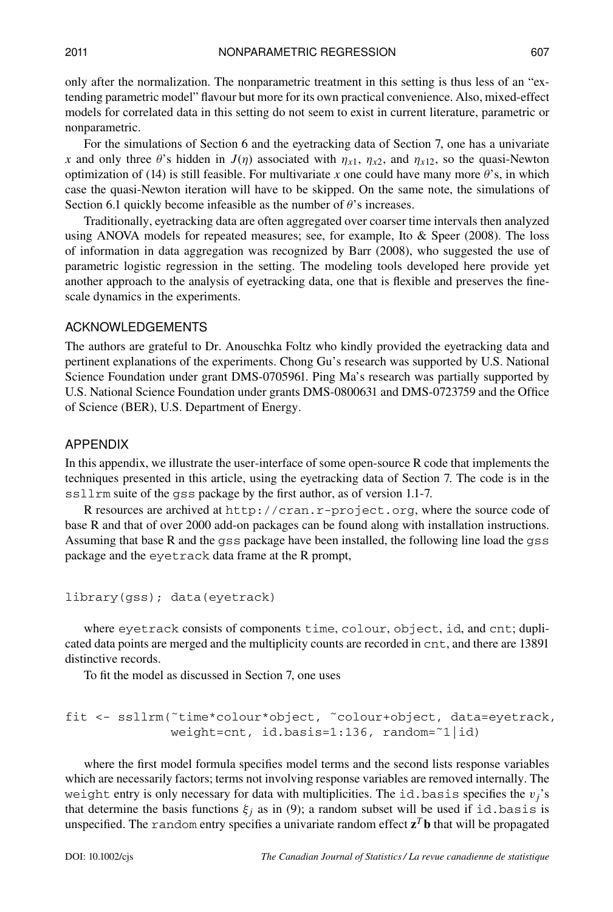only after the normalization. The nonparametric treatment in this setting is thus less of an "extending parametric model" flavour but more for its own practical convenience. Also, mixed-effect models for correlated data in this setting do not seem to exist in current literature, parametric or nonparametric.

For the simulations of Section 6 and the eyetracking data of Section 7, one has a univariate x and only three  $\theta$ 's hidden in  $J(\eta)$  associated with  $\eta_{x1}$ ,  $\eta_{x2}$ , and  $\eta_{x12}$ , so the quasi-Newton optimization of (14) is still feasible. For multivariate x one could have many more  $\theta$ 's, in which case the quasi-Newton iteration will have to be skipped. On the same note, the simulations of Section 6.1 quickly become infeasible as the number of  $\theta$ 's increases.

Traditionally, eyetracking data are often aggregated over coarser time intervals then analyzed using ANOVA models for repeated measures; see, for example, Ito & Speer (2008). The loss of information in data aggregation was recognized by Barr (2008), who suggested the use of parametric logistic regression in the setting. The modeling tools developed here provide yet another approach to the analysis of eyetracking data, one that is flexible and preserves the finescale dynamics in the experiments.

# ACKNOWLEDGEMENTS

The authors are grateful to Dr. Anouschka Foltz who kindly provided the eyetracking data and pertinent explanations of the experiments. Chong Gu's research was supported by U.S. National Science Foundation under grant DMS-0705961. Ping Ma's research was partially supported by U.S. National Science Foundation under grants DMS-0800631 and DMS-0723759 and the Office of Science (BER), U.S. Department of Energy.

# APPENDIX

In this appendix, we illustrate the user-interface of some open-source R code that implements the techniques presented in this article, using the eyetracking data of Section 7. The code is in the ssllrm suite of the gss package by the first author, as of version 1.1-7.

R resources are archived at http://cran.r-project.org, where the source code of base R and that of over 2000 add-on packages can be found along with installation instructions. Assuming that base R and the gss package have been installed, the following line load the gss package and the eyetrack data frame at the R prompt,

```
library(gss); data(eyetrack)
```
where eyetrack consists of components time, colour, object, id, and cnt; duplicated data points are merged and the multiplicity counts are recorded in cnt, and there are 13891 distinctive records.

To fit the model as discussed in Section 7, one uses

fit <- ssllrm(˜time\*colour\*object, ˜colour+object, data=eyetrack, weight=cnt, id.basis=1:136, random=˜1|id)

where the first model formula specifies model terms and the second lists response variables which are necessarily factors; terms not involving response variables are removed internally. The weight entry is only necessary for data with multiplicities. The id. basis specifies the  $v_j$ 's that determine the basis functions  $\xi_j$  as in (9); a random subset will be used if id.basis is unspecified. The random entry specifies a univariate random effect  $z<sup>T</sup>$  **b** that will be propagated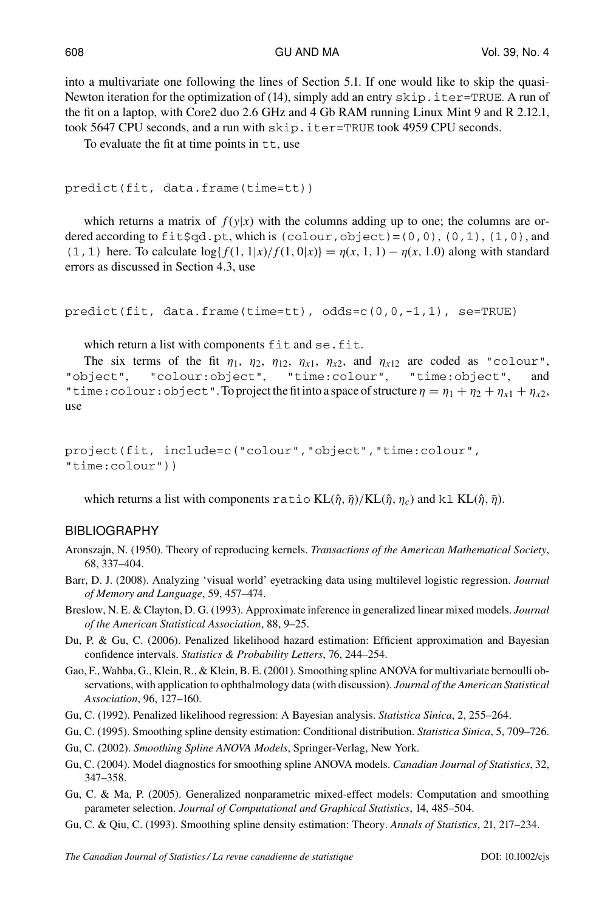into a multivariate one following the lines of Section 5.1. If one would like to skip the quasi-Newton iteration for the optimization of (14), simply add an entry skip.iter=TRUE. A run of the fit on a laptop, with Core2 duo 2.6 GHz and 4 Gb RAM running Linux Mint 9 and R 2.12.1, took 5647 CPU seconds, and a run with skip.iter=TRUE took 4959 CPU seconds.

To evaluate the fit at time points in  $tt$ , use

```
predict(fit, data.frame(time=tt))
```
which returns a matrix of  $f(y|x)$  with the columns adding up to one; the columns are ordered according to  $fit\$   $gd.pt$ , which is (colour, object) = (0,0), (0,1), (1,0), and (1, 1) here. To calculate  $\log(f(1, 1|x)/f(1, 0|x)) = \eta(x, 1, 1) - \eta(x, 1.0)$  along with standard errors as discussed in Section 4.3, use

```
predict(fit, data.frame(time=tt), odds=c(0,0,-1,1), se=TRUE)
```
which return a list with components fit and se.fit.

The six terms of the fit  $\eta_1$ ,  $\eta_2$ ,  $\eta_{12}$ ,  $\eta_{x1}$ ,  $\eta_{x2}$ , and  $\eta_{x12}$  are coded as "colour", "object", "colour:object", "time:colour", "time:object", and "time:colour:object". To project the fit into a space of structure  $\eta = \eta_1 + \eta_2 + \eta_{x1} + \eta_{x2}$ , use

```
project(fit, include=c("colour","object","time:colour",
"time:colour"))
```
which returns a list with components ratio  $KL(\hat{\eta}, \tilde{\eta})/KL(\hat{\eta}, \eta_c)$  and kl  $KL(\hat{\eta}, \tilde{\eta})$ .

#### BIBLIOGRAPHY

- Aronszajn, N. (1950). Theory of reproducing kernels. *Transactions of the American Mathematical Society*, 68, 337–404.
- Barr, D. J. (2008). Analyzing 'visual world' eyetracking data using multilevel logistic regression. *Journal of Memory and Language*, 59, 457–474.
- Breslow, N. E. & Clayton, D. G. (1993). Approximate inference in generalized linear mixed models. *Journal of the American Statistical Association*, 88, 9–25.
- Du, P. & Gu, C. (2006). Penalized likelihood hazard estimation: Efficient approximation and Bayesian confidence intervals. *Statistics & Probability Letters*, 76, 244–254.
- Gao, F., Wahba, G., Klein, R., & Klein, B. E. (2001). Smoothing spline ANOVA for multivariate bernoulli observations, with application to ophthalmology data (with discussion). *Journal of the American Statistical Association*, 96, 127–160.
- Gu, C. (1992). Penalized likelihood regression: A Bayesian analysis. *Statistica Sinica*, 2, 255–264.
- Gu, C. (1995). Smoothing spline density estimation: Conditional distribution. *Statistica Sinica*, 5, 709–726.
- Gu, C. (2002). *Smoothing Spline ANOVA Models*, Springer-Verlag, New York.
- Gu, C. (2004). Model diagnostics for smoothing spline ANOVA models. *Canadian Journal of Statistics*, 32, 347–358.
- Gu, C. & Ma, P. (2005). Generalized nonparametric mixed-effect models: Computation and smoothing parameter selection. *Journal of Computational and Graphical Statistics*, 14, 485–504.
- Gu, C. & Qiu, C. (1993). Smoothing spline density estimation: Theory. *Annals of Statistics*, 21, 217–234.